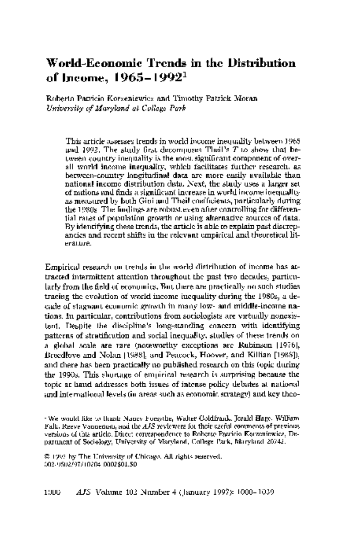# World-Economic Trends in the Distribution of Income, 1965-1992'

 Roberto Patricio Korzeniewicz and Timothy Patrick Moran University of Maryland at College Park

 This article assesses trends in world income inequality between 1965 and 1992. The study first decomposes Theil's T to show that be tween-country inequality is the most significant component of over all world income inequality, which facilitates further research, as between-country longitudinal data are more easily available than national income distribution data. Next, the study uses a larger set of nations and finds a significant increase in world income inequality as measured by both Gini and Theil coefficients, particularly during the 1980s. The findings are robust even after controlling for differen tial rates of population growth or using alternative sources of data. By identifying these trends, the article is able to explain past discrep ancies and recent shifts in the relevant empirical and theoretical lit erature.

 Empirical research on trends in the world distribution of income has at tracted intermittent attention throughout the past two decades, particu larly from the field of economics. But there are practically no such studies tracing the evolution of world income inequality during the 1980s, a de cade of stagnant economic growth in many low- and middle-income na tions. In particular, contributions from sociologists are virtually nonexis tent. Despite the discipline's long-standing concern with identifying patterns of stratification and social inequality, studies of these trends on a global scale are rare (noteworthy exceptions are Rubinson [1976], Breedlove and Nolan [1988], and Peacock, Hoover, and Killian [1988]), and there has been practically no published research on this topic during the 1990s. This shortage of empirical research is surprising because the topic at hand addresses both issues of intense policy debates at national and international levels (in areas such as economic strategy) and key theo-

 ? 1997 by The University of Chicago. All rights reserved. 002-9602/97/10204-0002\$01.50

 <sup>&#</sup>x27;We would like to thank Nancy Forsythe, Walter Goldfrank, Jerald Hage, William Falk, Reeve Vanneman, and the AJS reviewers for their useful comments of previous versions of this article. Direct correspondence to Roberto Patricio Korzeniewicz, De partment of Sociology, University of Maryland, College Park, Maryland 20742.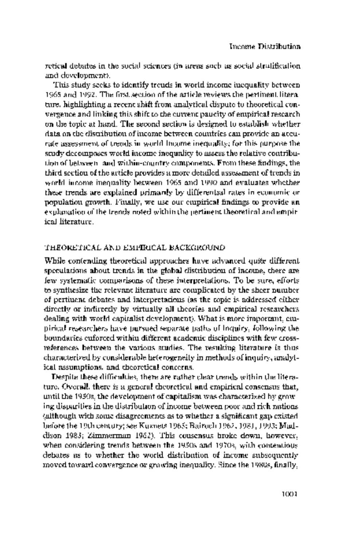retical debates in the social sciences (in areas such as social stratification and development).

 This study seeks to identify trends in world income inequality between 1965 and 1992. The first section of the article reviews the pertinent litera ture, highlighting a recent shift from analytical dispute to theoretical con vergence and linking this shift to the current paucity of empirical research on the topic at hand. The second section is designed to establish whether data on the distribution of income between countries can provide an accu rate assessment of trends in world income inequality; for this purpose the study decomposes world income inequality to assess the relative contribu tion of between- and within-country components. From these findings, the third section of the article provides a more detailed assessment of trends in world income inequality between 1965 and 1990 and evaluates whether these trends are explained primarily by differential rates in economic or population growth. Finally, we use our empirical findings to provide an explanation of the trends noted within the pertinent theoretical and empir ical literature.

## THEORETICAL AND EMPIRICAL BACKGROUND

 While contending theoretical approaches have advanced quite different speculations about trends in the global distribution of income, there are few systematic comparisons of these interpretations. To be sure, efforts to synthesize the relevant literature are complicated by the sheer number of pertinent debates and interpretations (as the topic is addressed either directly or indirectly by virtually all theories and empirical researchers dealing with world capitalist development). What is more important, em pirical researchers have pursued separate paths of inquiry, following the boundaries enforced within different academic disciplines with few cross references between the various studies. The resulting literature is thus characterized by considerable heterogeneity in methods of inquiry, analyt ical assumptions, and theoretical concerns.

 Despite these difficulties, there are rather clear trends within the litera ture. Overall, there is a general theoretical and empirical consensus that, until the 1950s, the development of capitalism was characterized by grow ing disparities in the distribution of income between poor and rich nations (although with some disagreements as to whether a significant gap existed before the 19th century; see Kuznets 1965; Bairoch 1962, 1981, 1993; Mad dison 1983; Zimmerman 1962). This consensus broke down, however, when considering trends between the 1950s and 1970s, with contentious debates as to whether the world distribution of income subsequently moved toward convergence or growing inequality. Since the 1980s, finally,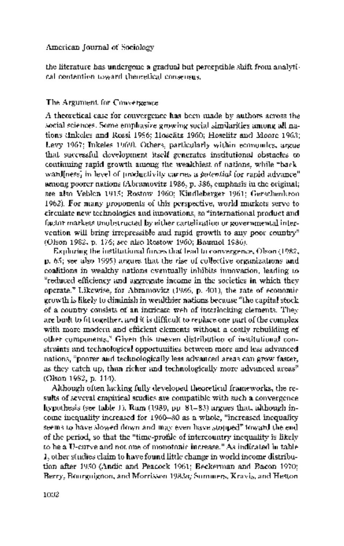the literature has undergone a gradual but perceptible shift from analyti cal contention toward theoretical consensus.

# The Argument for Convergence

 A theoretical case for convergence has been made by authors across the social sciences. Some emphasize growing social similarities among all na tions (Inkeles and Rossi 1956; Hoselitz 1960; Hoselitz and Moore 1963; Levy 1967; Inkeles 1969). Others, particularly within economics, argue that successful development itself generates institutional obstacles to continuing rapid growth among the wealthiest of nations, while "back ward[ness] in level of productivity carries a potential for rapid advance" among poorer nations (Abramovitz 1986, p. 386, emphasis in the original; see also Veblen 1915; Rostow 1960; Kindleberger 1961; Gerschenkron 1962). For many proponents of this perspective, world markets serve to circulate new technologies and innovations, so "international product and factor markets unobstructed by either cartelization or governmental inter vention will bring irrepressible and rapid growth to any poor country" (Olson 1982, p. 176; see also Rostow 1960; Baumol 1986).

 Exploring the institutional forces that lead to convergence, Olson (1982, p. 65; see also 1995) argues that the rise of collective organizations and coalitions in wealthy nations eventually inhibits innovation, leading to "reduced efficiency and aggregate income in the societies in which they operate." Likewise, for Abramovitz (1986, p. 401), the rate of economic growth is likely to diminish in wealthier nations because "the capital stock of a country consists of an intricate web of interlocking elements. They are built to fit together, and it is difficult to replace one part of the complex with more modern and efficient elements without a costly rebuilding of other components." Given this uneven distribution of institutional con straints and technological opportunities between more and less advanced nations, "poorer and technologically less advanced areas can grow faster, as they catch up, than richer and technologically more advanced areas" (Olson 1982, p. 114).

 Although often lacking fully developed theoretical frameworks, the re sults of several empirical studies are compatible with such a convergence hypothesis (see table 1). Ram (1989, pp. 81-83) argues that, although in come inequality increased for 1960-80 as a whole, "increased inequality seems to have slowed down and may even have stopped" toward the end of the period, so that the "time-profile of intercountry inequality is likely to be a U-curve and not one of monotonic increase." As indicated in table 1, other studies claim to have found little change in world income distribu tion after 1950 (Andic and Peacock 1961; Beckerman and Bacon 1970; Berry, Bourguignon, and Morrisson 1983a; Summers, Kravis, and Heston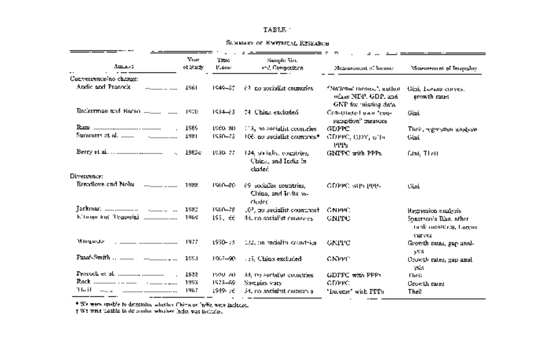#### $\texttt{TABLE}$  :

#### SUNNARY OF KNETRICAL RESEARCH

|                             |                  |                       |                                                            | $\overline{\phantom{a}}$                                                  |                                                                 |
|-----------------------------|------------------|-----------------------|------------------------------------------------------------|---------------------------------------------------------------------------|-----------------------------------------------------------------|
| August 2                    | Vear<br>of Study | sortT<br><b>L'ane</b> | Semple Size<br>and Composition                             | Measurement of Immune                                                     | Misensement of Incourable                                       |
| Cunvergence/no change:      |                  |                       |                                                            |                                                                           |                                                                 |
| Andie and Pearock           | 1961             | 1949-37               | $63$ no socialist enumeries.                               | "National Homes,", author<br>očass NEP, GDP, and<br>GNP for missing data. | Gini, Lorans curves,<br>growth rates                            |
|                             | 1970             | $1534 - 63$           | 74. China excluded                                         | Constitucted used femi-<br>sumption" measure                              | Gini                                                            |
|                             | 1686             | 1960-80               | 115, no aonialist countries.                               | GDPPC                                                                     | Their, regression analysis                                      |
| Summers of al.<br>          | 1981             | 1950-25               | 106. no sucialist cosmunes*                                | GDPPC, DDY, W14<br>ભગજ                                                    | Gini                                                            |
| $\ddot{\phantom{a}}$        | 1983c            | 1950-77               | 124, socialis, countries,<br>China, and India in<br>cluded | GNIFC with PPPs.                                                          | Gmt, Therr                                                      |
| Divergence:                 |                  |                       |                                                            |                                                                           |                                                                 |
| Breedlove and Nolm<br>      | 1988             | 1960-80.              | 69 socialist countries.<br>China, and India au-<br>rlodec  | <b>GDPPC</b> with they                                                    | Cùit                                                            |
| Jeckman,                    | 1982             | 1560-78               | 102, no sucialist countriest                               | GNPHC                                                                     | Regression analyzis                                             |
| Kitungu And Tempesini I<br> | 1969             | 1951 dé               | 44. no socialist countries                                 | <b>GNPPC</b>                                                              | Sneatson's Ran, other<br>tank measures, Logens<br><b>CHEVES</b> |
| Morgander                   | 1977             | 1950-75               | 1.12, no sucidial countries.                               | GNPPC                                                                     | Growth mins, gap and-<br>ysta                                   |
| Pasat-Smith                 | 199.1            | 1922-90.              | 125, China excluded                                        | <b>GNPPE</b>                                                              | Crowth rates, gap anal-<br>ysis                                 |
| Prerodi et al.              | 1933             | 1950 AD               | 53, tvi auctalist countries.                               | GDPPC with PPPs                                                           | <b>Theis</b>                                                    |
| Rack                        | 1993             | 1975-89.              | Sarcules vary                                              | GDPFC:                                                                    | Growth races                                                    |
| 'I la i l<br>1.11<br>       | 1967             | 1949-76               | 34. no satisfatsi comman al                                | "Dance" with PPPs.                                                        | Thei!                                                           |

\* We were unable to determine which<br>as China or Infigures indicate. This was indicated TWs were marked in the author whole<br>stimidize was indicated.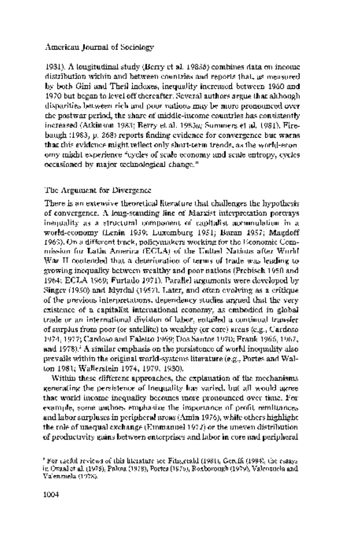1981). A longitudinal study (Berry et al. 1983b) combines data on income distribution within and between countries and reports that, as measured by both Gini and Theil indexes, inequality increased between 1960 and 1970 but began to level off thereafter. Several authors argue that although disparities between rich and poor nations may be more pronounced over the postwar period, the share of middle-income countries has consistently increased (Atkinson 1983; Berry et al. 1983a; Summers et al. 1981). Fire baugh (1983, p. 268) reports finding evidence for convergence but warns that this evidence might reflect only short-term trends, as the world-econ omy might experience "cycles of scale economy and scale entropy, cycles occasioned by major technological change."

# The Argument for Divergence

 There is an extensive theoretical literature that challenges the hypothesis of convergence. A long-standing line of Marxist interpretation portrays inequality as a structural component of capitalist accumulation in a world-economy (Lenin 1939; Luxemburg 1951; Baran 1957; Magdoff 1969). On a different track, policymakers working for the Economic Com mission for Latin America (ECLA) of the United Nations after World War II contended that a deterioration of terms of trade was leading to growing inequality between wealthy and poor nations (Prebisch 1950 and 1964; ECLA 1969; Furtado 1971). Parallel arguments were developed by Singer (1950) and Myrdal (1957). Later, and often evolving as a critique of the previous interpretations, dependency studies argued that the very existence of a capitalist international economy, as embodied in global trade or an international division of labor, entailed a continual transfer of surplus from poor (or satellite) to wealthy (or core) areas (e.g., Cardoso 1974, 1977; Cardoso and Faletto 1969; Dos Santos 1970; Frank 1966, 1967, and 1978).<sup>2</sup> A similar emphasis on the persistence of world inequality also prevails within the original world-systems literature (e.g., Portes and Wal ton 1981; Wallerstein 1974, 1979, 1980).

 Within these different approaches, the explanation of the mechanisms generating the persistence of inequality has varied, but all would agree that world income inequality becomes more pronounced over time. For example, some authors emphasize the importance of profit remittances and labor surpluses in peripheral areas (Amin 1976), while others highlight the role of unequal exchange (Emmanuel 1972) or the uneven distribution of productivity gains between enterprises and labor in core and peripheral

 <sup>2</sup> For useful reviews of this literature see Fitzgerald (1981), Gereffi (1994), the essays in Oxaal et al. (1975), Palma (1978), Portes (1976), Roxborough (1979), Valenzuela and Valenzuela (1978).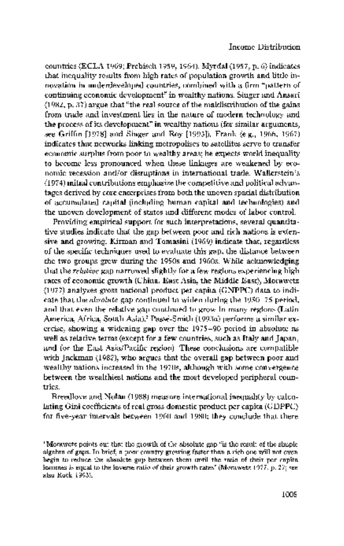countries (ECLA 1969; Prebisch 1959, 1964). Myrdal (1957, p. 6) indicates that inequality results from high rates of population growth and little in novation in underdeveloped countries, combined with a firm "pattern of continuing economic development" in wealthy nations. Singer and Ansari (1982, p. 37) argue that "the real source of the maldistribution of the gains from trade and investment lies in the nature of modern technology and the process of its development" in wealthy nations (for similar arguments, see Griffin [1978] and Singer and Roy [1993]). Frank (e.g., 1966, 1967) indicates that networks linking metropolises to satellites serve to transfer economic surplus from poor to wealthy areas; he expects world inequality to become less pronounced when these linkages are weakened by eco nomic recession and/or disruptions in international trade. Wallerstein's (1974) initial contributions emphasize the competitive and political advan tages derived by core enterprises from both the uneven spatial distribution of accumulated capital (including human capital and technologies) and the uneven development of states and different modes of labor control.

Providing empirical support for such interpretations, several quantita tive studies indicate that the gap between poor and rich nations is exten sive and growing. Kirman and Tomasini (1969) indicate that, regardless of the specific techniques used to evaluate this gap, the distance between the two groups grew during the 1950s and 1960s. While acknowledging that the relative gap narrowed slightly for a few regions experiencing high rates of economic growth (China, East Asia, the Middle East), Morawetz (1977) analyzes gross national product per capita (GNPPC) data to indi cate that the absolute gap continued to widen during the 1950-75 period, and that even the relative gap continued to grow in many regions (Latin America, Africa, South Asia).3 Passe-Smith (1993a) performs a similar ex ercise, showing a widening gap over the 1975-90 period in absolute as well as relative terms (except for a few countries, such as Italy and Japan, and for the East Asia/Pacific region). These conclusions are compatible with Jackman (1982), who argues that the overall gap between poor and wealthy nations increased in the 1970s, although with some convergence between the wealthiest nations and the most developed peripheral coun tries.

 Breedlove and Nolan (1988) measure international inequality by calcu lating Gini coefficients of real gross domestic product per capita (GDPPC) for five-year intervals between 1960 and 1980; they conclude that there

 <sup>3</sup> Morawetz points out that the growth of the absolute gap "is the result of the simple algebra of gaps. In brief, a poor country growing faster than a rich one will not even begin to reduce the absolute gap between them until the ratio of their per capita incomes is equal to the inverse ratio of their growth rates" (Morawetz 1977, p. 27; see also Rock 1993).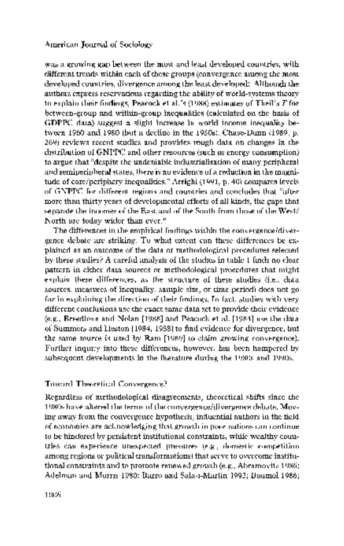was a growing gap between the most and least developed countries, with different trends within each of these groups (convergence among the most developed countries, divergence among the least developed). Although the authors express reservations regarding the ability of world-systems theory to explain their findings, Peacock et al.'s (1988) estimates of Theil's T for between-group and within-group inequalities (calculated on the basis of GDPPC data) suggest a slight increase in world income inequality be tween 1960 and 1980 (but a decline in the 1950s). Chase-Dunn (1989, p. 269) reviews recent studies and provides rough data on changes in the distribution of GNPPC and other resources (such as energy consumption) to argue that "despite the undeniable industrialization of many peripheral and semiperipheral states, there is no evidence of a reduction in the magni tude of core/periphery inequalities." Arrighi (1991, p. 40) compares levels. of GNPPC for different regions and countries and concludes that "after more than thirty years of developmental efforts of all kinds, the gaps that separate the incomes of the East and of the South from those of the  $\mathbf{West}/\mathbf{I}$ North are today wider than ever."

 The differences in the empirical findings within the convergence/diver gence debate are striking. To what extent can these differences be ex plained as an outcome of the data or methodological procedures selected by these studies? A careful analysis of the studies in table 1 finds no clear pattern in either data sources or methodological procedures that might explain these differences, as the structure of these studies (i.e., data sources, measures of inequality, sample size, or time period) does not go far in explaining the direction of their findings. In fact, studies with very different conclusions use the exact same data set to provide their evidence (e.g., Breedlove and Nolan [1988] and Peacock et al. [1984] use the data of Summers and Heston [1984, 1988] to find evidence for divergence, but the same source is used by Ram [1989] to claim growing convergence). Further inquiry into these differences, however, has been hampered by subsequent developments in the literature during the 1980s and 1990s.

## Toward Theoretical Convergence?

 Regardless of methodological disagreements, theoretical shifts since the 1980s have altered the terms of the convergence/divergence debate. Mov ing away from the convergence hypothesis, influential authors in the field of economics are acknowledging that growth in poor nations can continue to be hindered by persistent institutional constraints, while wealthy coun tries can experience unexpected pressures (e.g., domestic competition among regions or political transformations) that serve to overcome institu tional constraints and to promote renewed growth (e.g., Abramovitz 1986; Adelman and Morris 1980; Barro and Sala-i-Martin 1992; Baumol 1986;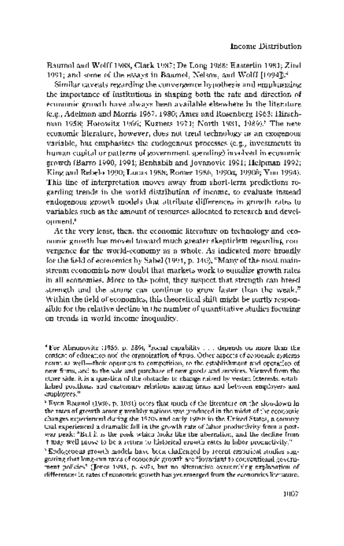Baumol and Wolff 1988; Clark 1987; De Long 1988; Easterlin 1981; Zind 1991; and some of the essays in Baumol, Nelson, and Wolff [1994]).4

 Similar caveats regarding the convergence hypothesis and emphasizing the importance of institutions in shaping both the rate and direction of economic growth have always been available elsewhere in the literature (e.g., Adelman and Morris 1967, 1980; Ames and Rosenberg 1963; Hirsch man 1958; Horowitz 1966; Kuznets 1971; North 1981, 1989).<sup>5</sup> The new economic literature, however, does not treat technology as an exogenous variable, but emphasizes the endogenous processes (e.g., investments in human capital or patterns of government spending) involved in economic growth (Barro 1990, 1991; Benhabib and Jovanovic 1991; Helpman 1992; King and Rebelo 1990; Lucas 1988; Romer 1986, 1990a, 1990b; You 1994). This line of interpretation moves away from short-term predictions re garding trends in the world distribution of income, to evaluate instead endogenous growth models that attribute differences in growth rates to variables such as the amount of resources allocated to research and devel opment.6

 At the very least, then, the economic literature on technology and eco nomic growth has moved toward much greater skepticism regarding con vergence for the world-economy as a whole. As indicated more broadly for the field of economics by Sabel (1994, p. 140), "Many of the most main stream economists now doubt that markets work to equalize growth rates in all economies. More to the point, they suspect that strength can breed strength and the strong can continue to grow faster than the weak." Within the field of economics, this theoretical shift might be partly respon sible for the relative decline in the number of quantitative studies focusing on trends in world income inequality.

 <sup>&#</sup>x27;For Abramovitz (1986, p. 389), "social capability ... depends on more than the content of education and the organization of firms. Other aspects of economic systems count as well-their openness to competition, to the establishment and operation of new firms, and to the sale and purchase of new goods and services. Viewed from the other side, it is a question of the obstacles to change raised by vested interests, estab lished positions, and customary relations among firms and between employers and employees. "

 <sup>&#</sup>x27;Even Baumol (1986, p. 1081) notes that much of the literature on the slowdown in the rates of growth among wealthy nations was produced in the midst of the economic changes experienced during the 1970s and early 1980s in the United States, a country that experienced a dramatic fall in the growth rate of labor productivity from a post war peak: "But it is the peak which looks like the aberration, and the decline from it may well prove to be a return to historical growth rates in labor productivity."

 <sup>6</sup> Endogenous growth models have been challenged by recent empirical studies sug gesting that long-run rates of economic growth are "invariant to conventional govern ment policies" (Jones 1995, p. 497), but no alternative overarching explanation of differences in rates of economic growth has yet emerged from the economics literature.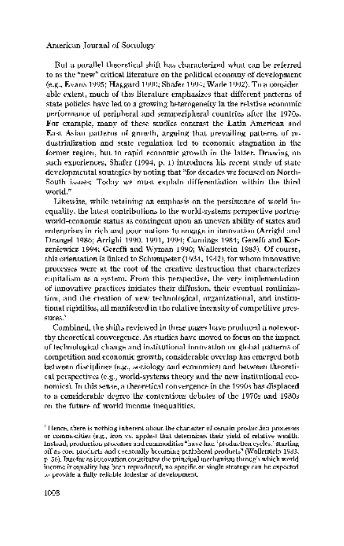But a parallel theoretical shift has characterized what can be referred to as the "new" critical literature on the political economy of development (e.g., Evans 1995; Haggard 1990; Shafer 1994; Wade 1992). To a consider able extent, much of this literature emphasizes that different patterns of state policies have led to a growing heterogeneity in the relative economic performance of peripheral and semiperipheral countries after the 1970s. For example, many of these studies contrast the Latin American and East Asian patterns of growth, arguing that prevailing patterns of in dustrialization and state regulation led to economic stagnation in the former region, but to rapid economic growth in the latter. Drawing on such experiences, Shafer (1994, p. 1) introduces his recent study of state developmental strategies by noting that "for decades we focused on North- South issues: Today we must explain differentiation within the third world."

 Likewise, while retaining an emphasis on the persistence of world in equality, the latest contributions to the world-systems perspective portray world-economic status as contingent upon an uneven ability of states and enterprises in rich and poor nations to engage in innovation (Arrighi and Drangel 1986; Arrighi 1990, 1991, 1994; Cumings 1984; Gereffi and Kor zeniewicz 1994; Gereffi and Wyman 1990; Wallerstein 1983). Of course, this orientation is linked to Schumpeter (1934, 1942), for whom innovative processes were at the root of the creative destruction that characterizes capitalism as a system. From this perspective, the very implementation of innovative practices initiates their diffusion, their eventual routiniza tion, and the creation of new technological, organizational, and institu tional rigidities, all manifested in the relative intensity of competitive pres sures.<sup>9</sup>

 Combined, the shifts reviewed in these pages have produced a notewor thy theoretical convergence. As studies have moved to focus on the impact of technological change and institutional innovation on global patterns of competition and economic growth, considerable overlap has emerged both between disciplines (e.g., sociology and economics) and between theoreti cal perspectives (e.g., world-systems theory and the new institutional eco nomics). In this sense, a theoretical convergence in the 1990s has displaced to a considerable degree the contentious debates of the 1970s and 1980s on the future of world income inequalities.

<sup>&</sup>lt;sup>1</sup> Hence, there is nothing inherent about the character of certain production processes. or commodities (e.g., iron vs. apples) that determines their yield of relative wealth. Instead, production processes and commodities "have had 'production cycles,' starting off as core products and eventually becoming peripheral products" (Wallerstein 1983, p. 36). Insofar as innovation constitutes the principal mechanism through which world income inequality has been reproduced, no specific or single strategy can be expected to provide a fully reliable lodestar of development.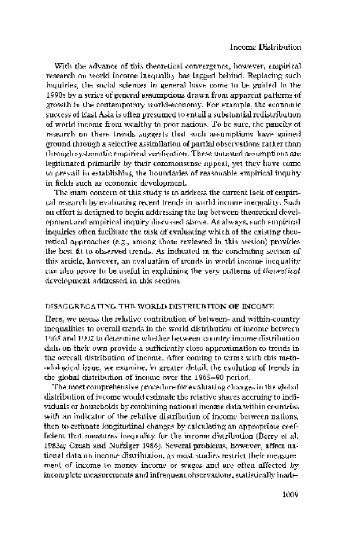## Income Distribution

 With the advance of this theoretical convergence, however, empirical research on world income inequality has lagged behind. Replacing such inquiries, the social sciences in general have come to be guided in the 1990s by a series of general assumptions drawn from apparent patterns of growth in the contemporary world-economy. For example, the economic success of East Asia is often presumed to entail a substantial redistribution of world income from wealthy to poor nations. To be sure, the paucity of research on these trends suggests that such assumptions have gained ground through a selective assimilation of partial observations rather than through systematic empirical verification. These untested assumptions are legitimated primarily by their commonsense appeal, yet they have come to prevail in establishing the boundaries of reasonable empirical inquiry in fields such as economic development.

 The main concern of this study is to address the current lack of empiri cal research by evaluating recent trends in world income inequality. Such an effort is designed to begin addressing the lag between theoretical devel opment and empirical inquiry discussed above. As always, such empirical inquiries often facilitate the task of evaluating which of the existing theo retical approaches (e.g., among those reviewed in this section) provides the best fit to observed trends. As indicated in the concluding section of this article, however, an evaluation of trends in world income inequality can also prove to be useful in explaining the very patterns of theoretical development addressed in this section.

#### DISAGGREGATING THE WORLD DISTRIUBTION OF INCOME

 Here, we assess the relative contribution of between- and within-country inequalities to overall trends in the world distribution of income between 1965 and 1992 to determine whether between-country income distribution data on their own provide a sufficiently close approximation to trends in the overall distribution of income. After coming to terms with this meth odological issue, we examine, in greater detail, the evolution of trends in the global distribution of income over the 1965-90 period.

 The most comprehensive procedure for evaluating changes in the global distribution of income would estimate the relative shares accruing to indi viduals or households by combining national income data within countries with an indicator of the relative distribution of income between nations, then to estimate longitudinal changes by calculating an appropriate coef ficient that measures inequality for the income distribution (Berry et al. 1983a; Grosh and Nafziger 1986). Several problems, however, affect na tional data on income distribution, as most studies restrict their measure ment of income to money income or wages and are often affected by incomplete measurements and infrequent observations, statistically inade-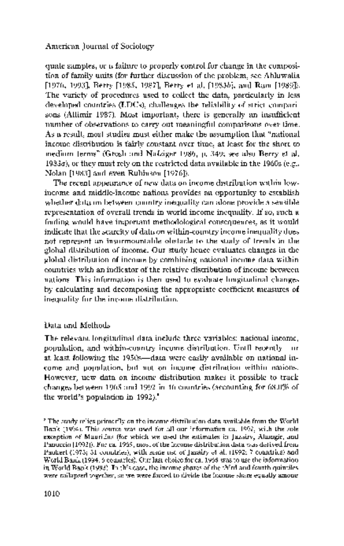quate samples, or a failure to properly control for change in the composi tion of family units (for further discussion of the problem, see Ahluwalia [1976, 1993], Berry [1985, 1987], Berry et al. [1983b], and Ram [1989]). The variety of procedures used to collect the data, particularly in less developed countries (LDCs), challenges the reliability of strict compari sons (Altimir 1987). Most important, there is generally an insufficient number of observations to carry out meaningful comparisons over time. As a result, most studies must either make the assumption that "national income distribution is fairly constant over time, at least for the short to medium terms" (Grosh and Nafziger 1986, p. 349; see also Berry et al. 1983a), or they must rely on the restricted data available in the 1960s (e.g., Nolan [1983] and even Rubinson [1976]).

 The recent appearance of new data on income distribution within low income and middle-income nations provides an opportunity to establish whether data on between-country inequality can alone provide a sensible representation of overall trends in world income inequality. If so, such a finding would have important methodological consequences, as it would indicate that the scarcity of data on within-country income inequality does not represent an insurmountable obstacle to the study of trends in the global distribution of income. Our study hence evaluates changes in the global distribution of income by combining national income data within countries with an indicator of the relative distribution of income between nations. This information is then used to evaluate longitudinal changes by calculating and decomposing the appropriate coefficient measures of inequality for the income distribution.

## Data and Methods

 The relevant longitudinal data include three variables: national income, population, and within-country income distribution. Until recently-our at least following the 1950s-data were easily available on national in come and population, but not on income distribution within nations. However, new data on income distribution makes it possible to track changes between 1965 and 1992 in 46 countries (accounting for 68.0% of the world's population in 1992).<sup>8</sup>

 <sup>8</sup> The study relies primarily on the income distribution data available from the World Bank (1994). This source was used for all our information ca. 1992, with the sole exception of Mauritius (for which we used the estimates in Jazairy, Alamgir, and Panuccio [1992]). For ca. 1965, most of the income distribution data was derived from Paukert (1973; 31 countries), with some use of Jazairy et al. (1992; 7 countries) and World Bank (1994; 6 countries). Our last choice for ca. 1965 was to use the information in World Bank (1993). In this case, the income shares of the third and fourth quintiles were collapsed together, so we were forced to divide the income share equally among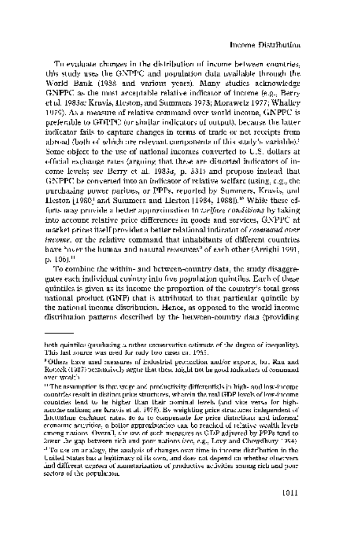To evaluate changes in the distribution of income between countries, this study uses the GNPPC and population data available through the World Bank (1988 and various years). Many studies acknowledge GNPPC as the most acceptable relative indicator of income (e.g., Berry et al. 1983a; Kravis, Heston, and Summers 1978; Morawetz 1977; Whalley 1979). As a measure of relative command over world income, GNPPC is preferable to GDPPC (or similar indicators of output), because the latter indicator fails to capture changes in terms of trade or net receipts from abroad (both of which are relevant components of this study's variable).<sup>9</sup> Some object to the use of national incomes converted to U.S. dollars at official exchange rates (arguing that these are distorted indicators of in come levels; see Berry et al. 1983a, p. 331) and propose instead that GNPPC be converted into an indicator of relative welfare (using, e.g., the purchasing power parities, or PPPs, reported by Summers, Kravis, and Heston [1980] and Summers and Heston [1984, 1988]).<sup>10</sup> While these ef forts may provide a better approximation to welfare conditions by taking into account relative price differences in goods and services, GNPPC at market prices itself provides a better relational indicator of command over income, or the relative command that inhabitants of different countries have "over the human and natural resources" of each other (Arrighi 1991, p. 106).11

 To combine the within- and between-country data, the study disaggre gates each individual country into five population quintiles. Each of these quintiles is given as its income the proportion of the country's total gross national product (GNP) that is attributed to that particular quintile by the national income distribution. Hence, as opposed to the world income distribution patterns described by the between-country data (providing

both quintiles (producing a rather conservative estimate of the degree of inequality). This last source was used for only two cases ca. 1965.

 <sup>9</sup> Others have used measures of industrial production and/or exports, but Rau and Roncek (1987) persuasively argue that these might not be good indicators of command over wealth.

 <sup>&#</sup>x27; The assumption is that wage and productivity differentials in high- and low-income countries result in distinct price structures, wherein the real GDP levels of low-income countries tend to be higher than their nominal levels (and vice versa for high income nations; see Kravis et al. 1978). By weighting price structures independent of fluctuating exchange rates, so as to compensate for price distortions and informal economic activities, a better approximation can be reached of relative wealth levels among nations. Overall, the use of such measures as GDP adjusted by PPPs tend to lower the gap between rich and poor nations (see, e.g., Levy and Chowdhury 1994). " To use an analogy, the analysis of changes over time in income distribution in the

United States has a legitimacy of its own, and does not depend on whether observers find different degrees of monetarization of productive activities among rich and poor sectors of the population.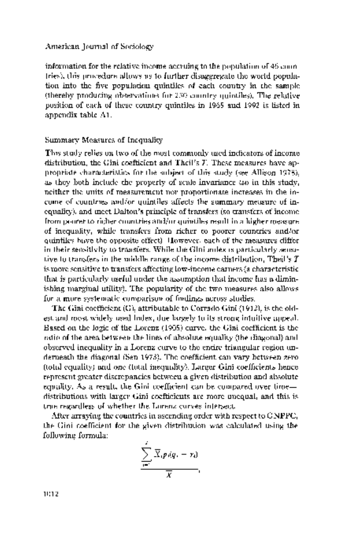information for the relative income accruing to the population of 46 coun tries), this procedure allows us to further disaggregate the world popula tion into the five population quintiles of each country in the sample (thereby producing observations for 230 country quintiles). The relative position of each of these country quintiles in 1965 and 1992 is listed in appendix table Al.

#### Summary Measures of Inequality

 This study relies on two of the most commonly used indicators of income distribution, the Gini coefficient and Theil's T. These measures have ap propriate characteristics for the subject of this study (see Allison 1978), as they both include the property of scale invariance (so in this study, neither the units of measurement nor proportionate increases in the in come of countries and/or quintiles affects the summary measure of in equality), and meet Dalton's principle of transfers (so transfers of income from poorer to richer countries and/or quintiles result in a higher measure of inequality, while transfers from richer to poorer countries and/or quintiles have the opposite effect). However, each of the measures differ in their sensitivity to transfers. While the Gini index is particularly sensi tive to transfers in the middle range of the income distribution, Theil's  $T$  is more sensitive to transfers affecting low-income earners (a characteristic that is particularly useful under the assumption that income has a dimin ishing marginal utility). The popularity of the two measures also allows for a more systematic comparison of findings across studies.

 The Gini coefficient (G), attributable to Corrado Gini (1912), is the old est and most widely used index, due largely to its strong intuitive appeal. Based on the logic of the Lorenz (1905) curve, the Gini coefficient is the ratio of the area between the lines of absolute equality (the diagonal) and observed inequality in a Lorenz curve to the entire triangular region un derneath the diagonal (Sen 1973). The coefficient can vary between zero (total equality) and one (total inequality). Larger Gini coefficients hence represent greater discrepancies between a given distribution and absolute equality. As a result, the Gini coefficient can be compared over time distributions with larger Gini coefficients are more unequal, and this is true regardless of whether the Lorenz curves intersect.

After arraying the countries in ascending order with respect to  $\mathrm{CNPPC}_0$  the Gini coefficient for the given distribution was calculated using the following formula:

$$
\frac{\sum_{i=1}^{n} \overline{X}_i p_i(q_i - r_i)}{\overline{X}}
$$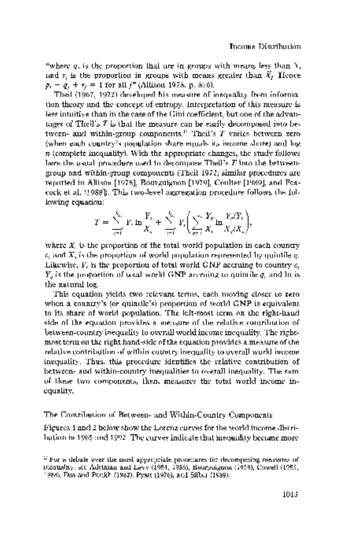"where q, is the proportion that are in groups with means less than  $X<sub>1</sub>$ and r<sub>i</sub> is the proportion in groups with means greater than  $\bar{X}_i$ . Hence  $p_1 - q_2 + r_3 = 1$  for all  $j^m$  (Allison 1978, p. 876).

 Theil (1967, 1972) developed his measure of inequality from informa tion theory and the concept of entropy. Interpretation of this measure is less intuitive than in the case of the Gini coefficient, but one of the advan tages of Theil's  $T$  is that the measure can be easily decomposed into be tween- and within-group components.'2 Theil's T varies between zero (when each country's population share equals its income share) and log n (complete inequality). With the appropriate changes, the study follows here the usual procedure used to decompose Theil's T into the between group and within-group components (Theil 1972; similar procedures are reported in Allison [1978], Bourguignon [1979], Coulter [1989], and Pea cock et al. [1988]). This two-level aggregation procedure follows the fol lowing equation:

$$
T = \sum_{i=1}^{k} Y_i \ln \frac{Y_i}{X_i} + \sum_{i=1}^{k} Y_i \left( \sum_{j \neq i} \frac{Y_j}{X_j} \ln \frac{Y_j / Y_j}{X_j / X_j} \right),
$$

where  $X<sub>c</sub>$  is the proportion of the total world population in each country  $c_i$  and  $X_i$  is the proportion of world population represented by quintile  $q_i$ . Likewise,  $Y_c$  is the proportion of total world  $GNP$  accruing to country  $c_s$  $Y_a$  is the proportion of total world GNP accruing to quintile  $\sigma$ , and ln is the natural log.

 This equation yields two relevant terms, each moving closer to zero when a country's (or quintile's) proportion of world GNP is equivalent. to its share of world population. The left-most term on the right-hand side of the equation provides a measure of the relative contribution of between-country inequality to overall world income inequality. The right most term on the right hand-side of the equation provides a measure of the relative contribution of within-country inequality to overall world income inequality. Thus, this procedure identifies the relative contribution of between- and within-country inequalities to overall inequality. The sum of these two components, then, measures the total world income in equality.

The Contribution of Between- and Within-Country Components

 Figures 1 and 2 below show the Lorenz curves for the world income distri bution in 1965 and 1992. The curves indicate that inequality became more

 <sup>12</sup> For a debate over the most appropriate procedures for decomposing measures of inequality, see Adelman and Levy (1984, 1986), Bourguignon (1979), Cowell (1985, 1988), Das and Parikh (1982), Pyatt (1976), and Silber (1989).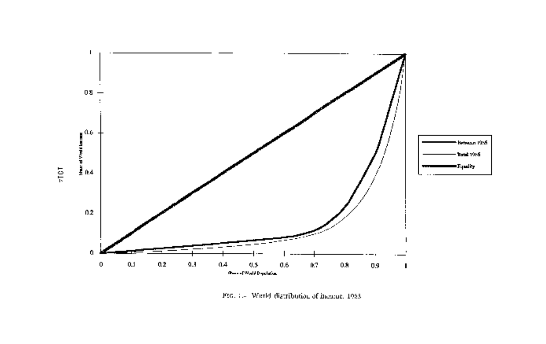

FIG. 1.4 Werld distribution of inearne, 1983.

 $\pm 101$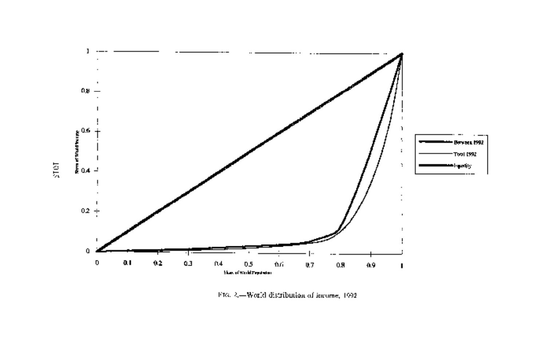

Fro. 2,-World distribution of income, 1992.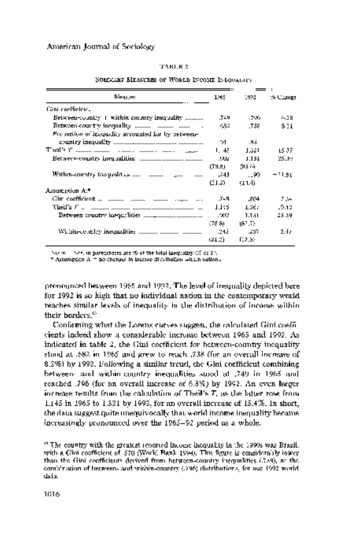#### TABLE 2

| <b>Director:</b>                                               | 1865.   | 1992   | to Change |
|----------------------------------------------------------------|---------|--------|-----------|
| <b>Cani coefficient.</b>                                       |         |        |           |
| Between-country 1 within encintry inequality                   | 549.    | -706.  | 6.38      |
| Between country inequality $\ldots$ $\ldots$ $\ldots$ $\ldots$ | 432.    | .738   | \$31      |
| Proportion of inequality accounted for by between-             |         |        |           |
|                                                                | 91.     | - 195  |           |
|                                                                | 1. 长    | الأذا  | 15 37.    |
|                                                                | w       | 1.131  | 25.JP     |
|                                                                | (73.8). | 95.61  |           |
|                                                                | -243    | - 90   | -1.81     |
|                                                                | (31.2)  | (11.4) |           |
| Assumersion At*                                                |         |        |           |
|                                                                | -549    | .804   | -734      |
|                                                                | 1.135   | 1.367  | -9.13     |
|                                                                | -202    | 1.1.11 | 25.39     |
|                                                                | 578 SU  | 187.72 |           |
| Wilhin-concley inequalities manual manual manual               | -243    | - 237  | 2.17      |
|                                                                | GL 2).  | f12.33 |           |

#### SUMMARY MEASURES OF WORLD INCOME INEQUALITY

NOTE.-NOS. in parentheses are % of the total inequality (% of T).

\* Assumption A = no changes in income distribution within nations.

 pronounced between 1965 and 1992. The level of inequality depicted here for 1992 is so high that no individual nation in the contemporary world reaches similar levels of inequality in the distribution of income within their borders.<sup>13</sup>

 Confirming what the Lorenz curves suggest, the calculated Gini coeffi cients indeed show a considerable increase between 1965 and 1992. As indicated in table  $\lambda$ , the Gini coefficient for between-country inequality stood at .682 in 1965 and grew to reach .738 (for an overall increase of 8.2%) by 1992. Following a similar trend, the Gini coefficient combining between- and within-country inequalities stood at .749 in 1965 and reached .796 (for an overall increase of 6.3%) by 1992. An even larger increase results from the calculation of Theil's T, as the latter rose from 1.145 in 1965 to 1.321 by 1992, for an overall increase of 15.4%. In short, the data suggest quite unequivocally that world income inequality became increasingly pronounced over the 1965-92 period as a whole.

 <sup>13</sup> The country with the greatest reported income inequality in the 1990s was Brazil, with a Gini coefficient of .570 (World Bank 1994). This figure is considerably lower than the Gini coefficients derived from between-country inequalities (.739), or the combination of between- and within-country (.796) distributions, for our 1992 world data.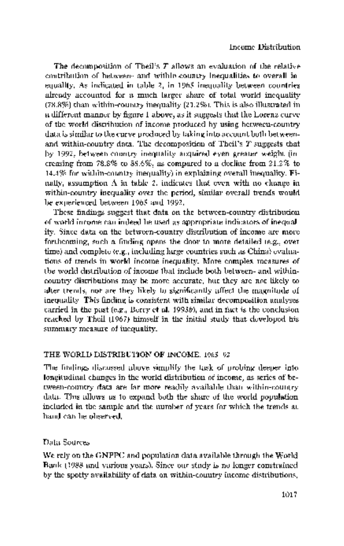The decomposition of Theil's  $T$  allows an evaluation of the relative contribution of between- and within-country inequalities to overall in equality. As indicated in table 2, in 1965 inequality between countries already accounted for a much larger share of total world inequality (78.8%) than within-country inequality (21.2%). This is also illustrated in a different manner by figure 1 above, as it suggests that the Lorenz curve of the world distribution of income produced by using between-country data is similar to the curve produced by taking into account both between and within-country data. The decomposition of Theil's T suggests that by 1992, between-country inequality acquired even greater weight (in creasing from 78.8% to 85.6%, as compared to a decline from 21.2% to 14.4% for within-country inequality) in explaining overall inequality. Fi nally, assumption A in table 2, indicates that even with no change in within-country inequality over the period, similar overall trends would be experienced between 1965 and 1992.

 These findings suggest that data on the between-country distribution of world income can indeed be used as appropriate indicators of inequal ity. Since data on the between-country distribution of income are more forthcoming, such a finding opens the door to more detailed (e.g., over time) and complete (e.g., including large countries such as China) evalua tions of trends in world income inequality. More complex measures of the world distribution of income that include both between- and within country distributions may be more accurate, but they are not likely to alter trends, nor are they likely to significantly affect the magnitude of inequality. This finding is consistent with similar decomposition analyses carried in the past (e.g., Berry et al. 1993b), and in fact is the conclusion. reached by Theil (1967) himself in the initial study that developed his summary measure of inequality.

## THE WORLD DISTRIBUTION OF INCOME, 1965-92

 The findings discussed above simplify the task of probing deeper into longitudinal changes in the world distribution of income, as series of be tween-country data are far more readily available than within-country data. This allows us to expand both the share of the world population. included in the sample and the number of years for which the trends at hand can be observed.

# Data Sources

 We rely on the GNPPC and population data available through the World Bank (1988 and various years). Since our study is no longer constrained by the spotty availability of data on within-country income distributions,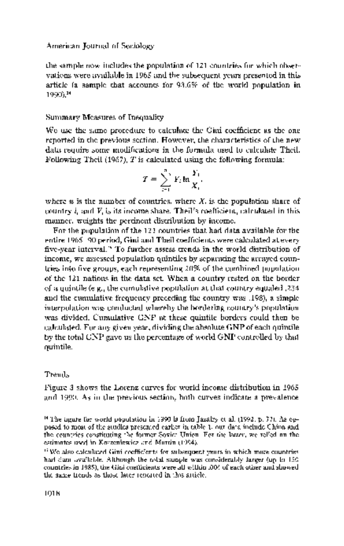the sample now includes the population of 121 countries for which obser vations were available in 1965 and the subsequent years presented in this article (a sample that accounts for 93.6% of the world population in 1990).14

#### Summary Measures of Inequality

We use the same procedure to calculate the Gini coefficient as the one reported in the previous section. However, the characteristics of the new data require some modifications in the formula used to calculate Theil. Following Theil  $(1967)$ , T is calculated using the following formula:

$$
T=\sum_{i=1}^n Y_i \ln \frac{Y_i}{X_i}.
$$

where  $u$  is the number of countries, where X, is the population share of country  $i$ , and  $V_i$  is its income share. Theil's coefficient, calculated in this manner, weights the pertinent distribution by income.

 For the population of the 121 countries that had data available for the entire 1965-90 period, Gini and Theil coefficients were calculated at every five-year interval.'5 To further assess trends in the world distribution of income, we assessed population quintiles by separating the arrayed coun tries into five groups, each representing 20% of the combined population of the 121 nations in the data set. When a country rested on the border of a quintile (e.g., the cumulative population at that country equaled .234 and the cumulative frequency preceding the country was .198), a simple interpolation was conducted whereby the bordering country's population was divided. Cumulative GNP at these quintile borders could then be calculated. For any given year, dividing the absolute GNP of each quintile by the total GNP gave us the percentage of world GNP controlled by that quintile.

#### Trends

 Figure 3 shows the Lorenz curves for world income distribution in 1965 and 1990. As in the previous section, both curves indicate a prevalence

 <sup>14</sup> The figure for world population in 1990 is from Jazairy et al. (1992, p. 77). As op posed to most of the studies presented earlier in table 1, our data include China and the countries constituting the former Soviet Union. For the latter, we relied on the estimates used in Korzeniewicz and Martin (1994).

 <sup>&</sup>quot; We also calculated Gini coefficients for subsequent years in which more countries had data available. Although the total sample was considerably larger (up to 150 countries in 1985), the Gini coefficients were all within .004 of each other and showed the same trends as those later reported in this article.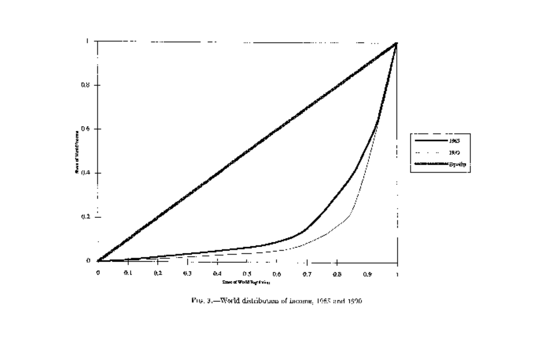

 $\mathrm{P}(6,3,\mathrm{+Word}$  distribution of income,  $1985$  and  $1990$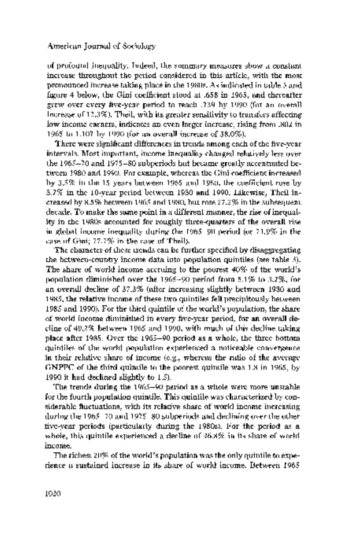of profound inequality. Indeed, the summary measures show a constant increase throughout the period considered in this article, with the most pronounced increase taking place in the 1980s. As indicated in table 3 and figure 4 below, the Gini coefficient stood at .658 in 1965, and thereafter grew over every five-year period to reach .739 by 1990 (for an overall increase of  $12.3\%$ ). Theil, with its greater sensitivity to transfers affecting low income earners, indicates an even larger increase, rising from .802 in 1965 to 1.107 by 1990 (for an overall increase of 38.0%).

 There were significant differences in trends among each of the five-year intervals. Most important, income inequality changed relatively less over the 1965-70 and 1975-80 subperiods but became greatly accentuated be tween 1980 and 1990. For example, whereas the Gini coefficient increased by 3.5% in the 15 years between 1965 and 1980, the coefficient rose by 8.7% in the 10-year period between 1980 and 1990. Likewise, Theil in creased by 8.5% between 1965 and 1980, but rose 27.2% in the subsequent. decade. To make the same point in a different manner, the rise of inequal ity in the 1980s accounted for roughly three-quarters of the overall rise in global income inequality during the 1965-90 period (or 71.9% in the case of Gini; 77.7% in the case of Theil).

 The character of these trends can be further specified by disaggregating the between-country income data into population quintiles (see table 3). The share of world income accruing to the poorest 40% of the world's population diminished over the 1965-90 period from 5.1% to 3.2%, for an overall decline of 37.3% (after increasing slightly between 1980 and 1985, the relative income of these two quintiles fell precipitously between 1985 and 1990). For the third quintile of the world's population, the share of world income diminished in every five-year period, for an overall de cline of 49.2% between 1965 and 1990, with much of this decline taking place after 1985. Over the 1965-90 period as a whole, the three bottom quintiles of the world population experienced a noticeable convergence. in their relative share of income (e.g., whereas the ratio of the average GNPPC of the third quintile to the poorest quintile was 1.8 in 1965, by 1990 it had declined slightly to 1.5).

 The trends during the 1965-90 period as a whole were more unstable for the fourth population quintile. This quintile was characterized by con siderable fluctuations, with its relative share of world income increasing during the 1965-70 and 1975-80 subperiods and declining over the other five-year periods (particularly during the 1980s). For the period as a whole, this quintile experienced a decline of 46.8% in its share of world. income.

The richest  $20\%$  of the world's population was the only quintile to experience a sustained increase in its share of world income. Between 1965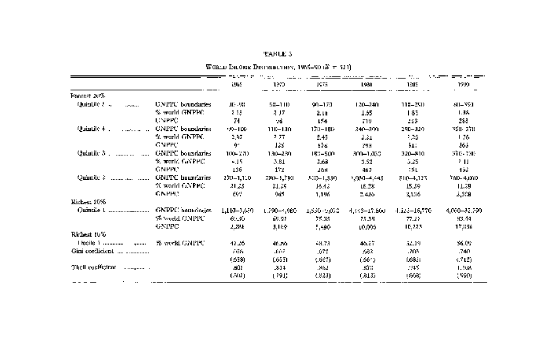# TABLE 3

 $\overline{\text{W}}$ овно Імповік Вистенного<br/>е $\gamma_{\rm c}$ 1965–90 $\left(K=521\right)$ 

|                                       |                         |             | - 44        |              |               |               |               |
|---------------------------------------|-------------------------|-------------|-------------|--------------|---------------|---------------|---------------|
|                                       |                         | 1965        | 1970        | 1975         | 1980          | 1285          | 1290          |
| Poorest 20%                           |                         |             |             |              |               |               |               |
| QuinDie 5 4<br>$$                     | <b>UNPPC</b> boundaries | JID -98     | 58-110      | 90-170       | $120 - 240$   | 118-290       | 80–351        |
|                                       | % world GNPPC.          | 2, 2,5      | 2.17        | 2.L          | 1.55          | 1.83          | 1.38          |
|                                       | LINPPC.                 | 74.         | 18          | 154          | 219           | 238           | 283           |
| Quintile 4.                           | <b>CNPPC</b> boundaries | 99-100      | 110-130     | 170–180      | 240-300       | 290-320       | 350. ato      |
|                                       | % world GNPPC.          | 2,87        | 2.77        | 2.45         | 3.31          | 3.26.         | 1.78.         |
|                                       | GNPPC.                  | ŷ.          | 135         | 578.         | 293           | \$11          | ۇقل           |
| Quintile $3$ , $\ldots$<br>           | <b>GNPPC</b> boundaries | 100-270     | 130-230     | 153-500      | 300–1,030     | 320-810.      | 370-730       |
|                                       | 9. world GNPPC.         | - 15        | 3.51        | 3,68         | 3.52          | 3.25          | 2 H           |
|                                       | GNPPC.                  | 136         | 172         | 265          | 462           | 35 L          | ة 13          |
| Quintile &<br>                        | <b>GNITY</b> boundaries | 270-1,110   | 280–3,790   | 530-1,550    | 5,030-4,443.  | $810 - 4,125$ | 760-4.060     |
|                                       | % world GNPPC.          | 21,23       | 21.39       | 16.42.       | 16.28         | 15.39         | 11,39         |
|                                       | GNPH3                   | 67          | 90.1        | 1,196        | 2.426         | 3,136         | 3,308         |
| Rickest 20%                           |                         |             |             |              |               |               |               |
| Oumale t<br>------------------------- | <b>GNPPC</b> hominates  | 1,110-3,659 | 1.790-4,980 | 1,530-9,010. | 4,333–17,800. | 4.123–16,770. | 4,030-32,790. |
|                                       | % world GNPPC           | 6550        | 69.97       | 75.35        | 75.38         | 77.27         | 93.44         |
|                                       | <b>GNPFC</b>            | 2,286       | 3.169       | 5,490        | 10.006.       | 115, 22, 3    | 17.856        |
| Richard 10%                           |                         |             |             |              |               |               |               |
| <b>Theoile 1 </b><br>                 | % world GNPPC           | 42.26       | 46.26       | 48.73        | 46.27         | 52.19         | \$6.00        |
| Gini coeflicient                      |                         | 768         | 1667        | .677         | 682.          | .203          | .740          |
|                                       |                         | (553)       | (655)       | 9667).       | (361)         | (.683)        | (712)         |
| Thell coeffiction.<br>.  .            |                         | 801         | 214         | 362          | 378           | -145          | 1.30A         |
|                                       |                         | (30)        | UP91)       | 4,823).      | (313)         | 1898)         | 1990).        |
|                                       |                         |             |             |              |               |               |               |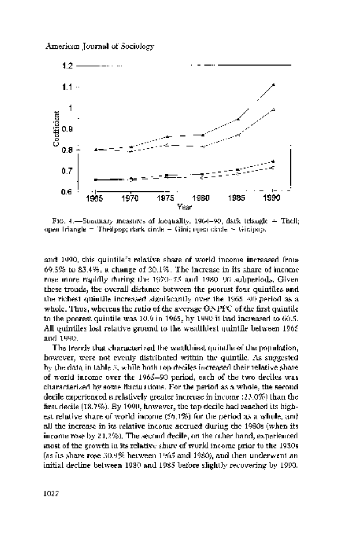

FIG. 4.-Summary measures of locquality, 1964-90; dark triangle  $\pm$  Theil; open triangle = Theilpop; dark circle = Gini; open circle = Ginipop.

 and 1990, this quintile's relative share of world income increased from 69.5% to 83.4%, a change of 20.1%. The increase in its share of income rose more rapidly during the 1970-75 and 1980-90 subperiods. Given these trends, the overall distance between the poorest four quintiles and the richest quintile increased significantly over the 1965-90 period as a whole. Thus, whereas the ratio of the average GNPPC of the first quintile to the poorest quintile was 30.9 in 1965, by 1990 it had increased to 60.5. All quintiles lost relative ground to the wealthiest quintile between 1965 and 1990.

 The trends that characterized the wealthiest quintile of the population, however, were not evenly distributed within the quintile. As suggested by the data in table 3, while both top deciles increased their relative share of world income over the 1965-90 period, each of the two deciles was characterized by some fluctuations. For the period as a whole, the second decile experienced a relatively greater increase in income (23.0%) than the first decile (18.7%). By 1990, however, the top decile had reached its high est relative share of world income (56.1%) for the period as a whole, and all the increase in its relative income accrued during the 1980s (when its income rose by 21.2%). The second decile, on the other hand, experienced most of the growth in its relative share of world income prior to the 1980s (as its share rose 30.9% between 1965 and 1980), and then underwent an initial decline between 1980 and 1985 before slightly recovering by 1990.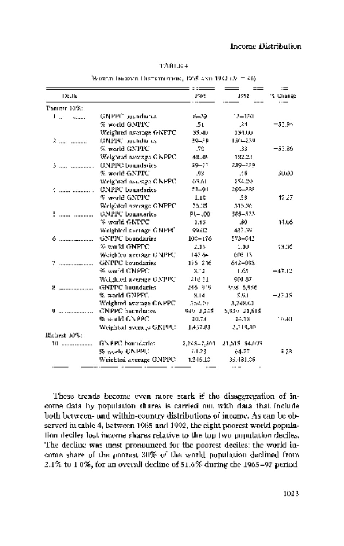# Income Distribution

|  | TAHLE 4 |  |
|--|---------|--|
|  |         |  |

| Worth Diobert Distribution, 1955 and 1992 (A $\pm$ 46). |  |  |
|---------------------------------------------------------|--|--|
|---------------------------------------------------------|--|--|

|              |                          |             |               | $\equiv$  |
|--------------|--------------------------|-------------|---------------|-----------|
| Death.       |                          | 1965        | 1992          | 't Change |
| Pancest 10%: |                          |             |               |           |
| Ι.           | GNPPC poundance          | والسنة      | 18–180        |           |
|              | % world GNPPC            | .5t         | .24           | $-33.94$  |
|              | Weighted average GNFPC   | 35.4D       | 134.00        |           |
| 2            | CINPISE proticiness      | 39439       | 150-239       |           |
|              | $\%$ world GNPEC         | .70         | .33           | $-53.86$  |
|              | Weighted tworzye GNPPC.  | 48.38       | 182.23        |           |
|              | <b>GNPIN:</b> boundaries | 59-77       | 239-289.      |           |
|              | $\%$ world GNPPC         | .93         | .66           | 30.OO     |
|              | Weighted assistge GNPPC. | 63.61       | 254.20        |           |
| .   .        | <b>GNPPC</b> baundaries  | 73-91       | 259-235       |           |
|              | % world GNPPC            | 1.1%        | .56           | 17.27     |
|              | Welghted assesse GNPPC'  | 25.35       | 315.36        |           |
| ÷            | <b>CMPPC</b> boundaries  | $91 - .00$  | 386-523       |           |
|              | % world GNPPC            | 1.13        | 80.           | 14.06     |
|              | Weighted skerage GNPPC   | 99.02       | 482.39        |           |
|              | GNPPC boundaries         | 100-176     | 573-042       |           |
|              | $\%$ world GNPPC.        | 2.13        | 1.10          | sane      |
|              | Woightee average CNPPC   | 147.64      | 605.13        |           |
| v.           | GNPPC boundaries         | 125 216     | 612-998       |           |
|              | ≪ world CNPPC:           | 3.12        | 1.65          | $-47.12$  |
|              | Weighted average ONPPC   | 216 31.     | 908-37        |           |
|              | GMPPC Imondaries         | 246-919     | Vos. 5,056    |           |
|              | % avarid GNPPC.          | 3.14        | \$.9.1        | $-23.15$  |
|              | Weighted average GAPPC.  | 354.79      | 3,248,61      |           |
|              | GNPPC boundaries.        | 949-2,248   | 5,959-21,515  |           |
|              | % world GN PPC           | 20.73       | 24.13         | 16.40 I   |
|              | Weighted average GNPPU   | 1,437.83    | 2,319,30.     |           |
| Richest 10%: |                          |             |               |           |
| 10           | GN PPC boundaries.       | 2,248–7,501 | 21,515-54,079 |           |
|              | 98. world GNPPL)         | 61.23       | 64.77         | 5.78.     |
|              | Weichteil average GNPPC  | 1.246.13    | 35.481.06     |           |

 These trends become even more stark if the disaggregation of in come data by population shares is carried out with data that include both between- and within-country distributions of income. As can be ob served in table 4, between 1965 and 1992, the eight poorest world popula tion deciles lost income shares relative to the top two population deciles. The decline was most pronounced for the poorest deciles: the world in come share of the poorest 30% of the world population declined from 2.1% to 1.0%, for an overall decline of 51.6% during the 1965-92 period.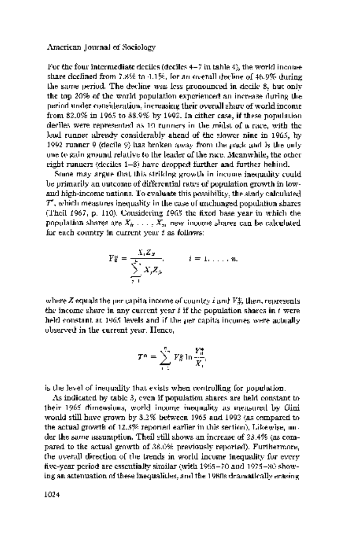For the four intermediate deciles (deciles  $4-7$  in table  $4\%$  the world income share declined from 7.8% to 4.1%, for an overall decline of 46.9% during the same period. The decline was less pronounced in decile 8, but only the top 20% of the world population experienced an increase during the period under consideration, increasing their overall share of world income from 82.0% in 1965 to 88.9% by 1992. In either case, if these population deciles were represented as 10 runners in the midst of a race, with the lead runner already considerably ahead of the slower nine in 1965, by 1992 runner 9 (decile 9) has broken away from the pack and is the only one to gain ground relative to the leader of the race. Meanwhile, the other eight runners (deciles 1-8) have dropped further and further behind.

 Some may argue that this striking growth in income inequality could be primarily an outcome of differential rates of population growth in low and high-income nations. To evaluate this possibility, the study calculated  $T^\prime$ , which measures inequality in the case of unchanged population shares (Theil 1967, p. 110). Considering 1965 the fixed base year in which the population shares are  $X_n$ , ...,  $X_n$ , new income shares can be calculated for each country in current year t as follows:

$$
Y_{\mathbf{E}}^{\times} = \frac{X_i Z_{\mathbf{F}}}{\sum_{j=1}^k X_j Z_{jk}}, \qquad i = 1, \ldots, n.
$$

where  $Z$  equals the per capita income of country  $i$  and  $V\ddot{\ddagger}$ , then, represents the income share in any current year  $t$  if the population shares in  $t$  were held constant at 1965 levels and if the per capita incomes were actually observed in the current year. Hence,

$$
T^{\alpha} = \sum_{i=1}^{n} Y^{\alpha}_{\alpha} \ln \frac{Y^{\alpha}_{0}}{X_{i}}
$$

is the level of inequality that exists when controlling for population.

 As indicated by table 3, even if population shares are held constant to their 1965 dimensions, world income inequality as measured by Gini would still have grown by 8.2% between 1965 and 1992 (as compared to the actual growth of 12.3% reported earlier in this section). Likewise, un der the same assumption, Theil still shows an increase of 23.4% (as com pared to the actual growth of 38.0% previously reported). Furthermore, the overall direction of the trends in world income inequality for every five-year period are essentially similar (with 1965-70 and 1975-80 show ing an attenuation of these inequalities, and the 1980s dramatically erasing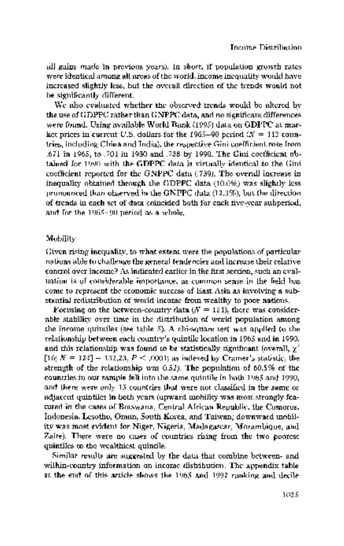all gains made in previous years). In short, if population growth rates were identical among all areas of the world, income inequality would have increased slightly less, but the overall direction of the trends would not be significantly different.

 We also evaluated whether the observed trends would be altered by the use of GDPPC rather than GNPPC data, and no significant differences were found. Using available World Bank (1995) data on GDPPC at mar ket prices in current U.S. dollars for the 1965-90 period  $\mathcal{N} = 112$  coun tries, including China and India), the respective Gini coefficient rose from .671 in 1965, to .701 in 1980 and .738 by 1990. The Gini coefficient ob tained for 1990 with the GDPPC data is virtually identical to the Gini coefficient reported for the GNPPC data (.739). The overall increase in inequality obtained through the GDPPC data (10.0%) was slightly less pronounced than observed in the GNPPC data (12.3%), but the direction of trends in each set of data coincided both for each five-year subperiod, and for the 1965-90 period as a whole.

#### Mobility

 Given rising inequality, to what extent were the populations of particular nations able to challenge the general tendencies and increase their relative control over income? As indicated earlier in the first section, such an eval uation is of considerable importance, as common sense in the field has come to represent the economic success of East Asia as involving a sub stantial redistribution of world income from wealthy to poor nations.

Focusing on the between-country data  $(N = 121)$ , there was considerable stability over time in the distribution of world population among the income quintiles (see table 5). A chi-square test was applied to the relationship between each country's quintile location in 1965 and in 1990, and this relationship was found to be statistically significant (overall,  $\chi^2$ [16;  $N = 124$ ] = 132,23,  $P \leq 0.001$ ; as indexed by Cramer's statistic, the strength of the relationship was 0.52). The population of 60.5% of the countries in our sample fell into the same quintile in both 1965 and 1990, and there were only 13 countries that were not classified in the same or adjacent quintiles in both years (upward mobility was most strongly fea tured in the cases of Botswana, Central African Republic, the Comoros, Indonesia, Lesotho, Oman, South Korea, and Taiwan; downward mobil ity was most evident for Niger, Nigeria, Madagascar, Mozambique, and Zaire). There were no cases of countries rising from the two poorest quintiles to the wealthiest quintile.

 Similar results are suggested by the data that combine between- and within-country information on income distribution. The appendix table at the end of this article shows the 1965 and 1992 ranking and decile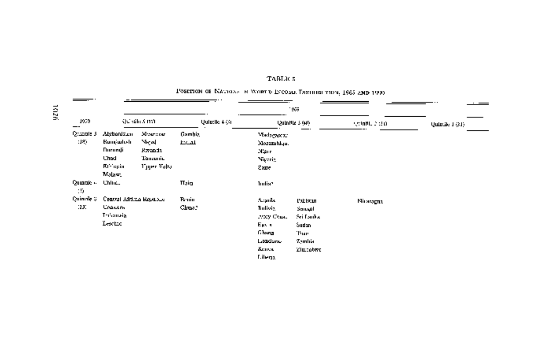|                   |                                                                                |                                                         |                  |                |                                                                                            | 1965                                                                    |            |                |
|-------------------|--------------------------------------------------------------------------------|---------------------------------------------------------|------------------|----------------|--------------------------------------------------------------------------------------------|-------------------------------------------------------------------------|------------|----------------|
| 1959.             |                                                                                | QC séle 3 mái                                           |                  | Quintile 4 (A) |                                                                                            | Quintile 3 (40)                                                         | AMINE 2:20 | Quindie 1 (31) |
| Quadrie 3<br>:18) | Alybonizum<br><b>Bungwhal</b><br>Nurundi<br>Chod<br><b>Riffiggia</b><br>Malaw, | Mourcase<br>Мириј<br>Kwanda,<br>Tanzunia<br>Typer Valia | Gambig.<br>لسختا |                | Madagascar<br>Mozambiqu.<br>N'err<br>Nigeria<br>≿λασκ                                      |                                                                         |            |                |
| Quante »<br>10.   | Chluc.                                                                         |                                                         | Tiain            |                | ludia?                                                                                     |                                                                         |            |                |
| Quinnle 3<br>131  | Central African Republic<br><b>Crowin</b><br>Tréamaia<br><b>Lextro</b>         |                                                         | Bruin<br>Chao P  |                | Argula<br>Buliviz.<br>2003 Chun<br>Ep. 1<br>Ghong<br>Littudiumu<br><u>Хинчэс</u><br>Lilega | Pablistan<br>Smaph<br>Sri Lanka<br>Sudan<br>Than<br>Zymlite<br>Zimcobwe | Niraragna  |                |

## TABLE  $\bar{\mathbf{s}}$

# PSETION OF NATIONS IN WORT IS ENCOME TOSHIBI THEN,  $1965$  AND  $1930^\circ$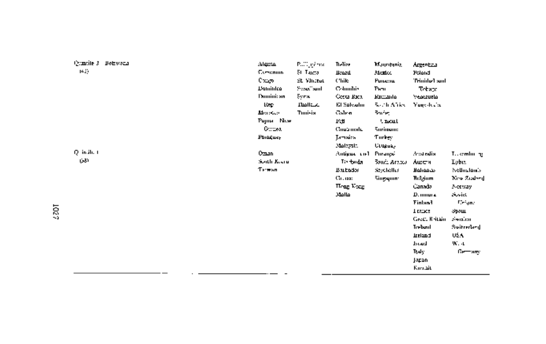| Quincile 3 Dobwoda<br>14E) | لمحجالاء<br>Companie<br>0 დენ<br>Dominica<br><b>Pannini:</b> an<br>Rep.<br>Menocan,<br>Pagna Now<br>Ournea.<br>Funguer | Pulling inter-<br>51 Tauca i<br>SE Vincent<br>Sweethand<br>Şyra.<br>السااصلا<br><b>Tunisia</b> | Treliae<br><b>Ikazu</b><br>Chile<br>Członibis<br>Corta Raca<br>El Salvalm<br>Galen<br>10.H<br><b>Coup male</b><br>Jamaica I<br>Malaysia. | Magnitude R<br>Mexico<br>Punema<br>Penu<br>واستنعظ<br>South Africa<br>Booking.<br><b>Unionl</b><br><b>Surinsum:</b><br>Turkey<br><b>Urugua,</b> | Argentica<br>Poland<br>Inactwitch"<br>Tekapa<br>Venezurla<br>Yugokala,                                                                                                         |                                                                                                                                                             |
|----------------------------|------------------------------------------------------------------------------------------------------------------------|------------------------------------------------------------------------------------------------|------------------------------------------------------------------------------------------------------------------------------------------|-------------------------------------------------------------------------------------------------------------------------------------------------|--------------------------------------------------------------------------------------------------------------------------------------------------------------------------------|-------------------------------------------------------------------------------------------------------------------------------------------------------------|
| Q in ih. 1<br>المختما      | Oman<br>South Keena<br>Triwan                                                                                          |                                                                                                | Antigua cost<br>To taida.<br>Butados<br>Салаж<br><b>Hong Vocat</b><br>فاافلاذ                                                            | Purançó<br>Soudi Arnow<br>Seychelles<br>Singgun-                                                                                                | Anstralia.<br>Ашси<br>حدمورلولا<br>Hul <i>g</i> ium<br>Canada<br>D. mnur a<br>Finland<br>1 rance<br>Greet, Rritain<br>Treband<br>tasisti<br>الصرط<br>Tody.<br>japan<br>Kirwait | T., camburing<br>Lybia.<br>Nellus londs<br>New Zosleed<br>Netway.<br>Sovins<br><b>Ceiuna</b><br>றைய<br>Swalian<br>Svitrerland<br>USA.<br>W. 4<br>Getter any |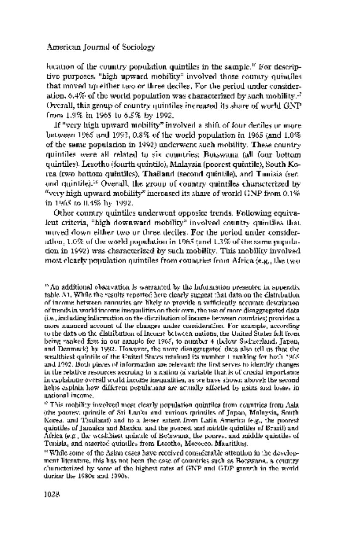location of the country population quintiles in the sample.<sup> $\kappa$ </sup> For descrip tive purposes, "high upward mobility" involved those country quintiles that moved up either two or three deciles. For the period under consider ation, 6.4% of the world population was characterized by such mobility. $\cdot^7$  Overall, this group of country quintiles increased its share of world GNP from 1.9% in 1965 to 6.5% by 1992.

 If "very high upward mobility" involved a shift of four deciles or more between 1965 and 1992, 0.8% of the world population in 1965 (and 1.0% of the same population in 1992) underwent such mobility. These country quintiles were all related to six countries: Botswana (all four bottom quintiles), Lesotho (fourth quintile), Malaysia (poorest quintile), South Ko rea (two bottom quintiles), Thailand (second quintile), and Tunisia (sec ond quintile)."8 Overall, the group of country quintiles characterized by "very high upward mobility" increased its share of world GNP from 0.1%. in 1965 to 0.4% by 1992.

 Other country quintiles underwent opposite trends. Following equiva lent criteria, "high downward mobility" involved country quintiles that moved down either two or three deciles. For the period under consider ation, 1.0% of the world population in 1965 (and 1.3% of the same popula tion in 1992) was characterized by such mobility. This mobility involved most clearly population quintiles from countries from Africa (e.g., the two

 <sup>16</sup> An additional observation is warranted by the information presented in appendix table Al. While the results reported here clearly suggest that data on the distribution of income between countries are likely to provide a sufficiently accurate description of trends in world income inequalities on their own, the use of more disaggregated data (i.e., including information on the distribution of income between countries) provides a more nuanced account of the changes under consideration. For example, according to the data on the distribution of income between nations, the United States fell from being ranked first in our sample for 1965, to number 4 (below Switzerland, Japan, and Denmark) by 1992. However, the more disaggregated data also tell us that the wealthiest quintile of the United States retained its number 1 ranking for both 1965 and 1992. Both pieces of information are relevant: the first serves to identify changes in the relative resources accruing to a nation (a variable that is of crucial importance in explaining overall world income inequalities, as we have shown above); the second helps explain how different populations are actually affected by gains and losses in national income.

 $^{\circ}$  This mobility involved most clearly population quintiles from countries from Asia. (the poorest quintile of Sri Lanka and various quintiles of Japan, Malaysia, South Korea, and Thailand) and to a lesser extent from Latin America (e.g., the poorest quintiles of Jamaica and Mexico, and the poorest and middle quintiles of Brazil) and Africa (e.g., the wealthiest quintile of Botswana, the poorest and middle quintiles of Tunisia, and assorted quintiles from Lesotho, Morocco, Mauritius).

 <sup>18</sup> While some of the Asian cases have received considerable attention in the develop ment literature, this has not been the case of countries such as Botswana, a country characterized by some of the highest rates of GNP and GDP growth in the world during the 1980s and 1990s.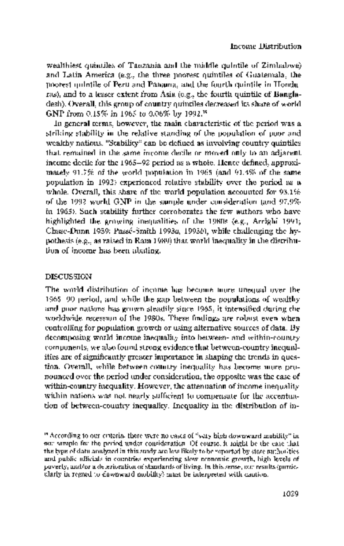wealthiest quintiles of Tanzania and the middle quintile of Zimbabwe) and Latin America (e.g., the three poorest quintiles of Guatemala, the poorest quintile of Peru and Panama, and the fourth quintile in Hondu ras), and to a lesser extent from Asia (e.g., the fourth quintile of Bangla desh). Overall, this group of country quintiles decreased its share of world GNP from 0.15% in 1965 to 0.06% by 1992.'9

 In general terms, however, the main characteristic of the period was a striking stability in the relative standing of the population of poor and wealthy nations. "Stability" can be defined as involving country quintiles that remained in the same income decile or moved only to an adjacent income decile for the 1965-92 period as a whole. Hence defined, approxi mately 91.7% of the world population in 1965 (and 91.4% of the same population in 1992) experienced relative stability over the period as a whole. Overall, this share of the world population accounted for 93.1% of the 1992 world GNP in the sample under consideration (and 97.9% in 1965). Such stability further corroborates the few authors who have highlighted the growing inequalities of the 1980s (e.g., Arrighi 1991; Chase-Dunn 1989; Passe-Smith 1993a, 1993b), while challenging the hy pothesis (e.g., as raised in Ram 1989) that world inequality in the distribu tion of income has been abating.

# DISCUSSION

 The world distribution of income has become more unequal over the 1965-90 period, and while the gap between the populations of wealthy and poor nations has grown steadily since 1965, it intensified during the worldwide recession of the 1980s. These findings are robust even when controlling for population growth or using alternative sources of data. By decomposing world income inequality into between- and within-country. components, we also found strong evidence that between-country inequal ities are of significantly greater importance in shaping the trends in ques tion. Overall, while between-country inequality has become more pro nounced over the period under consideration, the opposite was the case of within-country inequality. However, the attenuation of income inequality within nations was not nearly sufficient to compensate for the accentua tion of between-country inequality. Inequality in the distribution of in-

 <sup>9</sup> According to our criteria, there were no cases of "very high downward mobility" in our sample for the period under consideration. Of course, it might be the case that the type of data analyzed in this study are less likely to be reported by state authorities and public officials in countries experiencing slow economic growth, high levels of poverty, and/or a deterioration of standards of living. In this sense, our results (partic ularly in regard to downward mobility) must be interpreted with caution.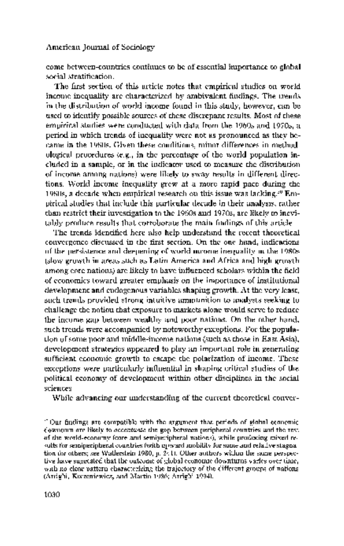come between-countries continues to be of essential importance to global social stratification.

 The first section of this article notes that empirical studies on world income inequality are characterized by ambivalent findings. The trends in the distribution of world income found in this study, however, can be used to identify possible sources of these discrepant results. Most of these empirical studies were conducted with data from the 1960s and 1970s, a period in which trends of inequality were not as pronounced as they be came in the 1980s. Given these conditions, minor differences in method ological procedures (e.g., in the percentage of the world population in cluded in a sample, or in the indicator used to measure the distribution of income among nations) were likely to sway results in different direc tions. World income inequality grew at a more rapid pace during the 1980s, a decade when empirical research on this issue was lacking.20 Em pirical studies that include this particular decade in their analysis, rather than restrict their investigation to the 1960s and 1970s, are likely to inevi tably produce results that corroborate the main findings of this article.

The trends identified here also help understand the recent theoretical convergence discussed in the first section. On the one hand, indications of the persistence and deepening of world income inequality in the 1980s (slow growth in areas such as Latin America and Africa and high growth among core nations) are likely to have influenced scholars within the field of economics toward greater emphasis on the importance of institutional development and endogenous variables shaping growth. At the very least, such trends provided strong intuitive ammunition to analysts seeking to challenge the notion that exposure to markets alone would serve to reduce the income gap between wealthy and poor nations. On the other hand, such trends were accompanied by noteworthy exceptions. For the popula tion of some poor and middle-income nations (such as those in East Asia), development strategies appeared to play an important role in generating sufficient economic growth to escape the polarization of income. These exceptions were particularly influential in shaping critical studies of the political economy of development within other disciplines in the social sciences.

While advancing our understanding of the current theoretical conver-

 $\degree$  Our findings are compatible with the argument that periods of global economic. downturn are likely to accentuate the gap between peripheral countries and the rest of the world-economy (core and semiperipheral nations), while producing mixed re sults for semiperipheral countries (with upward mobility for some and relative stagnation for others; see Wallerstein 1980, p. 241). Other authors within the same perspec tive have suggested that the outcome of global economic downturns varies over time, with no clear pattern characterizing the trajectory of the different groups of nations. (Arrighi, Korzeniewicz, and Martin 1986; Arrighi 1994).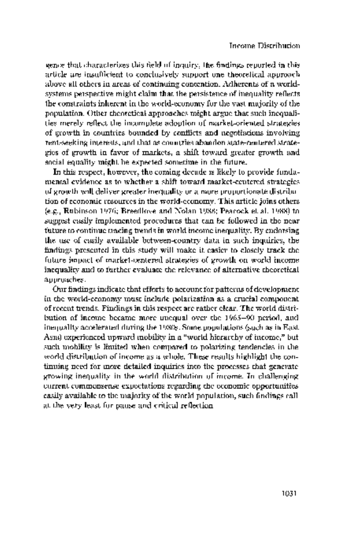gence that characterizes this field of inquiry, the findings reported in this article are insufficient to conclusively support one theoretical approach above all others in areas of continuing contention. Adherents of a world systems perspective might claim that the persistence of inequality reflects the constraints inherent in the world-economy for the vast majority of the population. Other theoretical approaches might argue that such inequali ties merely reflect the incomplete adoption of market-oriented strategies of growth in countries bounded by conflicts and negotiations involving rent-seeking interests, and that as countries abandon state-centered strate gies of growth in favor of markets, a shift toward greater growth and social equality might be expected sometime in the future.

 In this respect, however, the coming decade is likely to provide funda mental evidence as to whether a shift toward market-centered strategies of growth will deliver greater inequality or a more proportionate distribu tion of economic resources in the world-economy. This article joins others (e.g., Rubinson 1976; Breedlove and Nolan 1988; Peacock et al. 1988) to suggest easily implemented procedures that can be followed in the near future to continue tracing trends in world income inequality. By endorsing the use of easily available between-country data in such inquiries, the findings presented in this study will make it easier to closely track the future impact of market-centered strategies of growth on world income inequality and to further evaluate the relevance of alternative theoretical approaches.

 Our findings indicate that efforts to account for patterns of development in the world-economy must include polarization as a crucial component of recent trends. Findings in this respect are rather clear. The world distri bution of income became more unequal over the 1965-90 period, and inequality accelerated during the 1980s. Some populations (such as in East Asia) experienced upward mobility in a "world hierarchy of income," but such mobility is limited when compared to polarizing tendencies in the world distribution of income as a whole. These results highlight the con tinuing need for more detailed inquiries into the processes that generate growing inequality in the world distribution of income. In challenging current commonsense expectations regarding the economic opportunities easily available to the majority of the world population, such findings call at the very least for pause and critical reflection.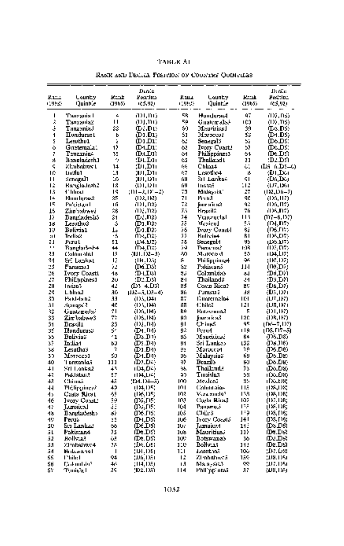#### TABLE Al

|              | RANK AND DECAL POSTION OF COUNTRY QUINTIESS |               |                      |               |                       |                |                              |  |  |  |
|--------------|---------------------------------------------|---------------|----------------------|---------------|-----------------------|----------------|------------------------------|--|--|--|
|              |                                             |               | Dinie                |               |                       |                | D: din                       |  |  |  |
| kr<br>(1992) | Lounty<br>Quinhie                           | Rmr<br>(1965) | Postfilto<br>(65,92) | Кшл<br>(1993) | Lounty<br>Quintie     | Rand<br>(1965) | Postflon<br>res,vai          |  |  |  |
| ı            | Tauzania I                                  | ے             | an,no                | 5R.           | Hundurast             | 47             | 707, NS)                     |  |  |  |
| ž            | Тэлханіа2                                   | п             | an an                | 50            | Guatemaksk            | rčâ            | (D) , DS)                    |  |  |  |
| į.           | LeinexnaT                                   | ۵ô            | ው፤ወው                 | 51            | Meuricias I           | 39             | (DALDS)                      |  |  |  |
| 1            | Honduras t                                  | b             | (D1.D1)              | 51            | Maraccot              | 53             | «DM.DS                       |  |  |  |
| 5            | Lesvthv1                                    | ż             | :ום נס               | ò.            | Senegal S             | 52             | ውኦ D\$:                      |  |  |  |
| ò            | Guetemala)                                  | 12            | (DALD1)              | 63            | Ivory Cuast!          | 59             | (DoLDS)                      |  |  |  |
| Ĩ.           | T≥nzania4                                   | 35            | ውሊጋን)                | ò1            | Philippines 3         | 51             | ውአውድ                         |  |  |  |
| g,           | lt in eladesh 1                             | ę.            | :DLD11               | ¢5            | Thalland L            | 21             | :D2.D9)                      |  |  |  |
| ς            | Zimbahws t                                  | 14            | ורם,וע;              | 66            | C'hlaa4               | c.             | (Dan 6.Da—6)                 |  |  |  |
| ΙG           | Lucito 1                                    | 13            | חום, וגון            | 67            | Lesotho4              | z.             | (DI DO)                      |  |  |  |
| п            | Senegal I                                   | 10            | חוכו, וגון           | 68            | §it Lanko4            | 91             | (Dr.IX)                      |  |  |  |
| Ιż           | <b>Banglodezh2</b>                          | 18            | (DT, DT)             | ńΨ            | <b>Hotel</b>          | 11             | (17,18)                      |  |  |  |
| 13           | 4° lilinsti                                 | ΙŚ            | : DI = 2, DC = 2)    | 73            | Molessia"             | 27             | (1921) 6–71                  |  |  |  |
| ء ا          | Humbpse2                                    | 25            | (DR, DR)             | 71            | Pertuit               | 90             | (1)5,117)                    |  |  |  |
| Iς           | Pakigtan l                                  | ١ñ            | 7DT, D2)             | īλ            | інгака2               | ٩ż             | (1)6,117)                    |  |  |  |
| 15           | Zimbabwei                                   | ŵЙ            | 7DE, D25             | 73            | <b>Brasil</b> 2       | 7ń             | 8125, DZ)                    |  |  |  |
| J)           | Banciadesiió                                | ۵1            | ው፤ በ2ን               | 74            | Venezuelal            | 11 R           | ጦ?–6.157)                    |  |  |  |
| 16           | Lesotho2                                    | s             | ውን ቦንን               | πŝ            | Mexicol               | 53             | (በዓ.በን)                      |  |  |  |
| 19           | Belivia1                                    | I۰            | ውን.በ2ን               | 誇             | <b>Ivary Coast-I</b>  | 62             | መፋጠን                         |  |  |  |
| :1 I         | Trylisch                                    | ٠ś            | ጠኢመድ)                |               | <b>Bulivies</b>       | RΙ             | (IX,D7)                      |  |  |  |
| ы            | Pisul                                       | 51            | (14.92)              | 78            | Senegul4              | 45             | (D6.07)                      |  |  |  |
| .,           | Banglarkek4                                 | ↔             | ጡት,D»)               | 54            | Рылялия?              | rá8            | (1)7. DZ)                    |  |  |  |
| 23           | Calóm álúl                                  | 15            | (111.102–3)          | 80            | Максо д               | 55             | 1134.LJ7;                    |  |  |  |
| 24           | äri Lankat                                  | I7            | (Dr.133)             | Я.            | Philippines4          | ₩              | $(W_{i}^{'}\mathbf{D7})$     |  |  |  |
| 23           | Panamul                                     | π             | (IN.IS)              | Ś2            | Pakistanā             | ΠЧ             | $(\mathbb{R}, \mathbb{D})$ : |  |  |  |
| 26           | Ivory Coasti                                | 18            | ውዚIର)                | ٤J            | Colombia)             | ы              | D6.DV)                       |  |  |  |
| 27           | Philippines1                                | 2υ            | :D2.D3)              | 봐             | Thailand?             | 94             | :D3.DN                       |  |  |  |
| 78           | Indan's                                     | 42            | ውን ፋውድ               | 85            | Costa Rica?           | 25             | (D6,D7)                      |  |  |  |
| 29           | L. blus.2                                   | 30            | $(122 - 5, 133 - 4)$ | Яń            | Punista S             | Sk.            | $(\mathbb{D}5, \mathbb{D}7)$ |  |  |  |
| 30           | Pa kl-ban2                                  | 33            | (D.S. 134)           | 87            | fi namnaloš           | ня             | (געגדע)                      |  |  |  |
| 31           | તંતુમાં મુખ્ય રે                            | 40            | (DS,184)             | 88            | 40 hilož              | 121            | (US, DP)                     |  |  |  |
| 33           | Gustanels?                                  | 21            | (D5,114)             | Rû            | <b>Bistawans2</b>     | 5              | (DLH)                        |  |  |  |
| \$Š          | Zimbalzee3                                  | 77            | (DS, 114)            | 90            | lisur sı ic su?       | 120            | (DR, 187)                    |  |  |  |
| Ŝ1           | Brasilt                                     | 23            | 7DJ.DD               | 91            | C⊦ineS                | ğ۳             | (በፍትሜ 02)                    |  |  |  |
| 35           | Ilundurasü                                  | s.            | ውነ.ቦ።                | ŷλ            | Peru4.                | 1 I A          | (185, 117—5)                 |  |  |  |
| 55           | Bolivia2                                    | -1            | DS.DH                | US.           | Mancicias i           | 64             | JIS.D8)                      |  |  |  |
| st           | In:lia4                                     | bIJ           | ው፤ ውክ                | 91            | Sri Lankao            | LS2            | (105.J) 8)                   |  |  |  |
| 5š           | Lesathas                                    | ÷             | ው1.DD                | 92            | Moroccot              | ΥØ             | 026.DB)                      |  |  |  |
| 39           | Мотосеод                                    | ŚJ.           | (D1.D4)              | 95            | Malaysia3             | 69             | (D6.D2)                      |  |  |  |
| 40           | 'i anxania.i                                | נננ           | መንደሩን                | 92            | Brazil><br>Thail:nrl: | 50             | (Do.DB)                      |  |  |  |
| $+1$         | Sri Lonka2                                  | 41            | (104,04)             | 瑪             |                       | 53             | (Do,Da)                      |  |  |  |
| 43           | Paklatan?                                   | 97            | 计算边名                 | Q,            | Turxisla.5            | 58             | (DOLER)                      |  |  |  |
| 43           | Chimé                                       | 45            | 204.104.35           | юo            | Mexical               | 85             | ті қалан                     |  |  |  |
| 11           | Philippines)                                | 49            | (18,1)5)             | ЮI            | Calutitai <b>a</b> s  | ПE             | (185,1)8)                    |  |  |  |
| d>           | Casts Rics t                                | Ą,            | (IKOS)               | m             | Vora zoola?           | ГR             | (ISSDR)                      |  |  |  |
| 46           | lvory Coa⊔                                  | Ŧ9            | ax,ns:               | юı            | Caela Hira3           | 102            | (155,108)                    |  |  |  |
| 47           | Jamaical                                    | ä             | መአያንድ                | 164           | Panare, i             | œ              | (ISS, DR)                    |  |  |  |
| 13           | Banglachesko                                | s,            | axe.ns:              | Кő            | Chile 3               | ډبر            | (IK, DS)                     |  |  |  |
| 49           | Paus                                        | 25            | ውዚወዩ                 | Лé            | Irotri Condió         | 141            | መፍጦ።                         |  |  |  |
| 50           | لسناهما تS                                  | 66            | (DE LIS)             | JU.           | <b>Lumaica4</b>       | 113            | തംകാ                         |  |  |  |
| ãL           | Pakistan4                                   | 75            | ውሊI ይገ               | 108           | Mauritius)            | ≀ננ            | (De.De)                      |  |  |  |
| 52           | Bollvia?                                    | ôã.           | ሙ: DS                | 102           | Botswana's            | 36             | ത്വാം                        |  |  |  |
| 53           | Zimbahwa4                                   | 18            | :DK. DEI             | 110           | Bolivias              | 11!            | መ&.DS)                       |  |  |  |
| 54           | <b>Halseshall</b>                           | -1            | 30.OS)               | 111           | Leset voi             | 100            | :D7.O81                      |  |  |  |
| SS           | <b>Phili:1</b>                              | 94            | (196, 195)           | 12            | ZI mbalywca           | 159            | (198.195)                    |  |  |  |
| 56           | Dakuntán*                                   | 46            | (114.109)            | ıЛ            | Malaysid).            | œ              | 927.1951                     |  |  |  |
| Ś۲           | Tymisia I                                   | 29            | (D2.135)             | 114           | Philippi orsă         | 37             | (US, DS)                     |  |  |  |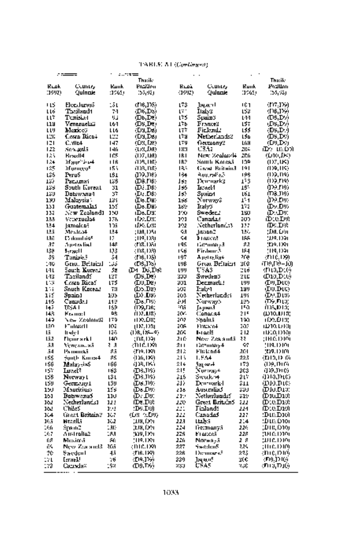|            | $\sim$ $\sim$ $\sim$ $\sim$ $\sim$ |             | LINDLED OF SUGPLEPARTS<br>$1.77 =$ |            |                            |             |                              |
|------------|------------------------------------|-------------|------------------------------------|------------|----------------------------|-------------|------------------------------|
|            |                                    |             | Thatik:                            |            |                            |             | Thatik:                      |
| Ruak       | Country                            | <b>Bank</b> | Pozition                           | غفاظ       | Country                    | <b>Runk</b> | Position                     |
| (1992)     | Quincule                           | :1965)      | 35,92)                             | (1992)     | Qulante                    | (1965)      | 35,931                       |
| +15        | <b>Flendurss5</b>                  | 15 L        | (D6,1X)                            | L73        | Japani                     | 101         | (117,129)                    |
| LLó        | Theiland t                         | 74          | (D6,D3)                            | Γï.        | Italy3                     | 152         | (D6,1%)                      |
| แะ         | Tenisiast                          | リゴ          | (Db,DC)                            | いち         | Spain3                     | 144         | (DS,DV)                      |
| 118        | Veneruelaä                         | L6-1        | (DS,De)                            | 174        | Frances                    | 157         | (DS,DV)                      |
| แข         | Merice)                            | LLG         | (Da,Da)                            | いさ         | Ficknik                    | いちら         | $(\mathsf{DS},\mathsf{D}_2)$ |
| LEK.       | Costa Rica÷                        | LTT         | (Da,Da)                            | เรม        | Netherlands?               | LSD.        | (DS,D%                       |
| 121        | C.MIt4                             | 147         | (OS, DO)                           | LTV<br>183 | fiermony?<br>03.42         | L6N<br>2114 | (D9.D2)                      |
| 122<br>125 | Sen 2015.<br><b>Brazil4</b>        | 146<br>105  | (US,DA)<br>(D7.IM)                 | IRI        | New Zealand <del>i</del>   | 206         | മും ധാന<br>(D10,JPD)         |
| 124        | Magnitica <del>4</del>             | ПŘ          | (DS, 188)                          | TR?        | South Koreaë               | 109         | (127,183)                    |
| 125        | Morneey <sup>e</sup>               | 153         | 803, DS)                           | 183        | Given Britain3             | 191         | (199,119)                    |
| L25        | Peru5                              | LŠ 1        | زەرر چون                           | 184        | મેળક, જ્યીં કરી            | 196         | (1)9,119)                    |
| 12)        | Pacamat                            | ĽöŜ         | ന്മാരാ                             | J se       | Den-nark3                  | 173         | (1)9,114)                    |
| 135        | South Koreat                       | 31          | DE DB:                             | كۆل        | Israel 1                   | 16.         | መአጠዓን                        |
| 139        | Dotswana 1                         | s۳          | (DALDB)                            | 1s)        | Зраід 1                    | 161         | ന്നുവരാ                      |
| 130<br>131 | Malaysia :<br><b>Guatemalas</b>    | 134<br>155  | (IG.DB)<br>(De.DB)                 | 156<br>189 | Nurwayê<br>Italy3          | 154<br>172  | መንያ ወሃን<br>ውኢውን              |
| 132        | New Zealand1                       | 150         | (De.DS)                            | rо         | Sweder                     | 150         | ው:DC                         |
| 133        | Vereruela4                         | 178         | (DADS)                             | 191        | Canadak                    | æ           | ው:ይውድ                        |
| 134        | Jamak.aE                           | 105         | das par                            | 192        | Netherlands3               | 117         | ው። D%                        |
| 135        | Mexica4                            | 134         | ; D8. D51                          | 93         | Japan2                     | 136         | ум. Оч                       |
| IJē        | E's dennt rio <sup>g</sup>         | Е           | (119,138)                          | 54         | France?                    | 188         | (1)9.1)91                    |
| 37         | Apetralial                         | 148         | 418.1351                           | 195        | GermanyA                   | 82          | 'D9.1091                     |
| 138<br>39  | l-raci i<br>Tanisie,?              | 133<br>54   | (118,133)<br>(106, 135)            | 156<br>197 | Firdam:3<br>Angrediae      | 184<br>200  | (119.1)91<br>(110.129)       |
| 146        | Grea, BritainJ                     | ذن:         | (D6,I%).                           | LIJ₿       | Great Britaint             | 318         | ጠዓብቀ–መ                       |
| ы          | South Koread                       | 52          | IM DJ.DR                           | レリリ        | USAS                       | ľю          | (D10,D10)                    |
| 143        | Taxiland?                          | 127         | (D5,D8)                            | 333        | Sweden3                    | 210         | CH3,D10                      |
| LW6        | Costa Rica?                        | いち          | (LII,DE)                           | 391        | Decmark!                   | レリリ         | (DV,DIG)                     |
| ı∷         | Snuch Koceaa                       | T¦l         | ക്ര.D2)                            | w          | Ital:A1                    | 199         | (LO.DIC)                     |
| 1 i S      | Spain 1                            | 198         | ውን ው።                              | 203        | Nederlandsi                | 194         | ውይው።                         |
| 116<br>147 | Camada.)<br>USA I                  | 119<br>169  | <b>(De.D9)</b><br>(D9,D6)          | ëИ<br>ះកុត | Narways                    | 195<br>тa   | ത്രങ്ങൾ<br>(DS,DT3)          |
| 143        | Krama: L                           | ۵Ŗ          | (1)7.1/8)                          | zov.       | Ja jiwid<br>Сополя4        | 215         | ധ്രാവാദ;                     |
| 147        | New Kealand2                       | 179         | (1) 9. D 8.                        | 202        | Spoluš                     | 190         | TOMOTH,                      |
| IãO        | Fulnard I                          | 102         | (187,198)                          | 208        | Findsto4                   | 303         | iDIO.DEIE                    |
| IJ         | ltslef                             | 126         | $(1)$ R, $(8-4)$                   | 269        | I-rael5                    | 2 12        | HEQDRI                       |
| 152        | Figurark I                         | 140         | ;n8.D9r                            | 216        | New Zealandā               | 22          | ;INGDIOL                     |
| 53<br>54   | Успель, яб                         | l 3<br>85   | ්ට ස්ටානි                          | 211<br>212 | i≩mmury4                   | 97<br>201   | 914.19101                    |
| 155        | Panamaā<br>≑onth Karis4            | 85          | (119.1891<br>(D6,189)              | 213        | Flirk nd4<br>1.554         | 223         | (የነፃ. በን በጣ<br>וס גובות)     |
| 156        | MalaysiaS                          | 166         | ብንጻ በፍት                            | 214        | հոլ∝տե∔                    | 173         | መደብነው                        |
| 157        | Lozel?                             | 163         | መልወዩን                              | 215        | Nurway <sup>2</sup>        | 203         | መႀൈ                          |
| 158        | Norway t                           | LS L        | ന്താ                               | 318        | Swuk #                     | 2 L'i       | വാരന്ത                       |
| เรีย       | Germany 1                          | LŜIJ        | (DS.DO)                            | 317        | Den-nark-l                 | 811         | (DIO.DIC)                    |
| 15J        | Mauricius)                         | 195         | ው ው።                               | 218        | Australia3                 | 5DJ         | ത്വാ.ലാ:                     |
| 151        | Вовтелаб                           | 110         | ው፡ ው።                              | 219        | Netherlands?               | 319         | മാധാര                        |
| 162<br>16, | Netherlands1<br>Chiles             | 11 !<br>191 | (De.Do)<br>(D6.D6)                 | 220<br>221 | Great BritainS<br>Finland? | 222         | (D10.D10)<br>(Die.Dio)       |
| 164        | Great Dritain?                     | 167         | (DS-5.D9)                          | 222        | CanadaS                    | 224<br>227  | :DuaD10)                     |
| 165        | Nitabili                           | 162         | для, бел                           | 223        | talvi                      | 214         | :Dux.Dtoi                    |
| 166        | Spanie?                            | 130         | (D8, D9)                           | 224        | Frecmourgă                 | 226         | (סרכ),:ודע                   |
| 167        | 20 ام ادر ن                        | 183         | 909, 1991                          | 225        | Frances                    | 228         | 3116.DIOI                    |
| 68         | Muxiecă                            | 86          | 910.1091                           | 226        | Norwayā                    | 28          | 991 C. D. IOI                |
| ē9.        | New Zealand3                       | łМ          | (DICJ)91                           | 227        | Sweden5                    | 224         | :1110.12109                  |
| 70         | Swedon I                           | 45          | (D6.189)                           | 226        | Demografi                  | 235         | ረዘነገሮ. ዘጋቱጥ                  |
| 31         | Leraek!<br>Qanada¤                 | 76<br>192   | (DAJ)9)<br>መመንንያ)                  | 229<br>233 | Japan!<br>usas             | 30C<br>₹J¢  | (0.000000)<br>መመመው           |
|            |                                    |             |                                    |            |                            |             |                              |

# TABLE Al (Continued)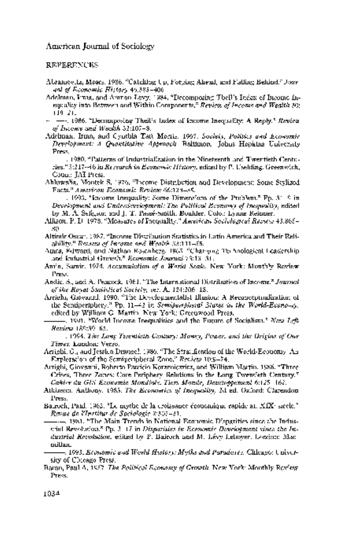**REFERENCES** 

- Abramovitz, Moses. 1986. "Catching Up, Forging Ahead, and Falling Behind." Jour nal of Economic History 46:385-406.
- Adelman, Irma, and Amnon Levy. 1984. "Decomposing Theil's Index of Buome In equality into Between and Within Components." Review of Income and Wealth 30: 119-21.
- $\sim$   $\sim$  1986. "Decomposing Theil's Index of Income Inequality: A Reply." Review of Income and Wealth 32:107-8.
- Adelman, Irma, and Cynthia Taft Morris. 1967. Society, Politics and Economic Development: A Quantitative Approach. Baltimore: Johns Hopkins University Press.

 . 1980. "Patterns of Industrialization in the Nineteenth and Twentieth Centu ries." 5:217-46 in Research in Economic History, edited by P. Uselding. Greenwich, Conn.: JAI Press.

 Ahluwalia, Montek S. 1976. "Income Distribution and Development: Some Stylized Facts." American Economic Review 66:128-35.

 . 1993. "Income Inequality: Some Dimensions of the Problem." Pp. 31-9 in Development and Underdevelopment: The Political Economy of Inequality, edited by M. A. Seligson and J. T. Passe-Smith. Boulder, Colo.: Lynne Reinner.

- Allison, P. D. 1978. "Measures of Inequality." American Sociological Review 43:865- 80.
- Altimir Oscar. 1987. "Income Distribution Statistics in Latin America and Their Reli ability." Review of Income and Wealth 33:111-55.
- Ames, Edward, and Nathan Rosenberg. 1963. "Changing Technological Leadership and Industrial Growth." Economic Journal 73:13-31.
- Amin, Samir. 1974. Accumulation of a World Scale. New York: Monthly Review Press.
- Andic, S., and A. Peacock. 1961. "The International Distribution of Income." Journal of the Royal Statistical Society, ser. A, 124:206-18.
- Arrighi, Giovanni. 1990. "The Developmentalist Illusion: A Reconceptualization of the Semiperiphery." Pp.  $11-2$  in Semiperipheral States in the World-Economy, edited by William G. Martin. New York: Greenwood Press.
- $\sim$  1991. "World Income Inequalities and the Future of Socialism." New Left-Review 189:39-65.

 . 1994. The Long Twentieth Century: Money, Power, and the Origins of Our Times. London: Verso.

 Arrighi, G., and Jessica Drangel. 1986. "The Stratification of the World-Economy: An Exploration of the Semiperipheral Zone." Review 10:9-74.

 Arrighi, Giovanni, Roberto Patricio Korzeniewicz, and William Martin. 1986. "Three Crises, Three Zones: Core-Periphery Relations in the Long Twentieth Century." Cahier du GIS Economie Mondiale, Tiers Monde, Developpement 6:125-162.

 Atkinson, Anthony. 1983. The Economics of Inequality, 2d ed. Oxford: Clarendon Press.

 Bairoch, Paul. 1962. "Le mythe de la croissance economique rapide au XIXe siecle." Revue de l'Institut de Sociologie 2:307-31.

 . 1981. "The Main Trends in National Economic Disparities since the Indus trial Revolution." Pp. 3-17 in Disparities in Economic Development since the In dustrial Revolution, edited by P. Bairoch and M. Levy-Leboyer. London: Mac millan.

 . 1993. Economic and World History: Myths and Paradoxes. Chicago: Univer sity of Chicago Press.

 Baran, Paul A. 1957. The Political Economy of Growth. New York: Monthly Review Press.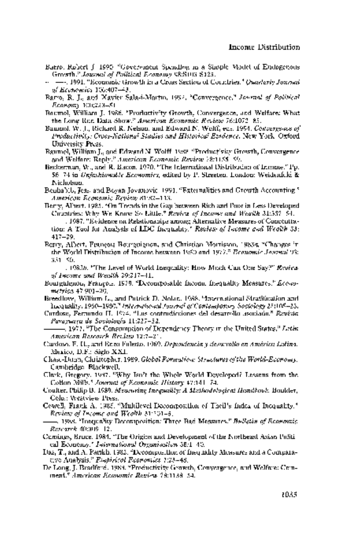- Barro, Robert J. 1990. "Government Spending in a Simple Model of Endogenous Growth." Journal of Political Economy 98:S103-S125.
- . 1991. "Economic Growth in a Cross Section of Countries." Quarterly Journal of Economics 106:407-43.
- Barro, R. J., and Xavier Sala-i-Martin. 1992. "Convergence." Journal of Political Economy 100:223-51.
- Baumol, William J. 1986. "Productivity Growth, Convergence, and Welfare: What the Long-Run Data Show." American Economic Review 76:1072-85.
- Baumol, W. J., Richard R. Nelson, and Edward N. Wolff, eds. 1994. Convergence of Productivity: Cross-National Studies and Historical Evidence. New York: Oxford University Press.
- Baumol, William J., and Edward N. Wolff. 1988. "Productivity Growth, Convergence and Welfare: Reply." American Economic Review 78:1155-59.
- Beckerman, W., and R. Bacon. 1970. "The International Distribution of Income." Pp. 56-74 in Unfashionable Economics, edited by P. Streeten. London: Weidenfeld & Nicholson.
- Benhabib, Jess, and Boyan Jovanovic. 1991. "Externalities and Growth Accounting." American Economic Review 81:82-113.
- Berry, Albert. 1985. "On Trends in the Gap between Rich and Poor in Less Developed Countries: Why We Know So Little." Review of Income and Wealth 31:337-54.

 . 1987. "Evidence on Relationships among Alternative Measures of Concentra tion: A Tool for Analysis of LDC Inequality." Review of Income and Wealth 33: 417-29.

 Berry, Albert, Francois Bourguignon, and Christian Morrisson. 1983a. "Changes in the World Distribution of Income between 1950 and 1977." Economic Journal 93: 331-50.

 . 1983b. "The Level of World Inequality: How Much Can One Say?" Review of Income and Wealth 29:217-41.

 Bourguignon, Francois. 1979. "Decomposable Income Inequality Measures." Econo metrica 47:901-20.

 Breedlove, William L., and Patrick D. Nolan. 1988. "International Stratification and Inequality, 1960-1980." International Journal of Contemporary Sociology 25:105-23.

 Cardoso, Fernando H. 1974. "Las contradicciones del desarrollo asociado." Revista Paraguaya de Sociologza 11:227-52.

 . 1977. "The Consumption of Dependency Theory in the United States." Latin American Research Review 12:7-21.

 Cardoso, F. H., and Enzo Faletto. 1969. Dependencia y desarrollo en Ame'rica Latina. Mexico, D.F.: Siglo XXI.

 Chase-Dunn, Christopher. 1989. Global Formation: Structures of the World-Economy. Cambridge: Blackwell.

 Clark, Gregory. 1987. "Why Isn't the Whole World Developed? Lessons from the Cotton Mills." Journal of Economic History 47:141-74.

 Coulter, Philip B. 1989. Measuring Inequality: A Methodological Handbook. Boulder, Colo.: Westview Press.

 Cowell, Frank A. 1985. "Multilevel Decomposition of Theil's Index of Inequality." Review of Income and Wealth 31:201-5.

 -. 1988. "Inequality Decomposition: Three Bad Measures." Bulletin of Economic Research 40:309-12.

- Cumings, Bruce. 1984. "The Origins and Development of the Northeast Asian Politi cal Economy." International Organization 38:1-40.
- Das, T., and A. Parikh. 1982. "Decomposition of Inequality Measures and a Compara tive Analysis." Empirical Economics 7:23-48.
- De Long, J. Bradford. 1988. "Productivity Growth, Convergence, and Welfare: Com ment." American Economic Review 78:1138-54.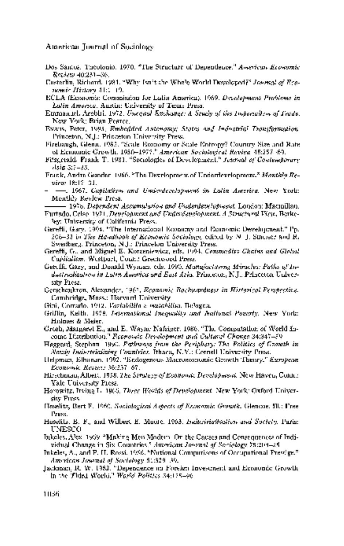- Dos Santos, Theotonio. 1970. "The Structure of Dependence." American Economic Review 40:231-36.
- Easterlin, Richard. 1981. "Why Isn't the Whole World Developed?" Journal of Eco nomic History 41:1-19.
- ECLA (Economic Commission for Latin America). 1969. Development Problems in Latin America. Austin: University of Texas Press.
- Emmanuel, Arghiri. 1972. Unequal Exchange: A Study of the Imperialism of Trade. New York: Brian Pearce.
- Evans, Peter. 1995. Embedded Autonomy: States and Industrial Transformation. Princeton, N.J.: Princeton University Press.
- Firebaugh, Glenn. 1983. "Scale Economy or Scale Entropy? Country Size and Rate of Economic Growth, 1950-1977." American Sociological Review 48:257-69.
- Fitzgerald, Frank T. 1981. "Sociologies of Development." Journal of Contemporary Asia 3:7-33.
- Frank, Andre Gunder. 1966. "The Development of Underdevelopment." Monthly Re view 18:17-31.
- . 1967. Capitalism and Underdevelopment in Latin America. New York: Monthly Review Press.
- . 1978. Dependent Accumulation and Underdevelopment. London: Macmillan.
- Furtado, Celso. 1971. Development and Underdevelopment: A Structural View. Berke ley: University of California Press.
- Gereffi, Gary. 1994. "The International Economy and Economic Development." Pp. 206-33 in The Handbook of Economic Sociology, edited by N. J. Smelser and R. Swedberg. Princeton, N.J.: Princeton University Press.
- Gereffi, G., and Miguel E. Korzeniewicz, eds. 1994. Commodity Chains and Global Capitalism. Westport, Conn.: Greenwood Press.
- Gereffi, Gary, and Donald Wyman, eds. 1990. Manufacturing Miracles: Paths of In dustrialization in Latin America and East Asia. Princeton, N.J.: Princeton Univer sity Press.
- Gerschenkron, Alexander. 1962. Economic Backwardness in Historical Perspective. Cambridge, Mass.: Harvard University.
- Gini, Corrado. 1912. Variabilita e mutabilita. Bologna.
- Griffin, Keith. 1978. International Inequality and National Poverty. New York: Holmes & Meier.
- Grosh, Margaret E., and E. Wayne Nafziger. 1986. "The Computation of World In come Distribution." Economic Development and Cultural Change 34:347-59.
- Haggard, Stephan. 1990. Pathways from the Periphery: The Politics of Growth in Newly Industrializing Countries. Ithaca, N.Y.: Cornell University Press.
- Helpman, Elhanan. 1992. "Endogenous Macroeconomic Growth Theory." European Economic Review 36:237-67.
- Hirschman, Albert. 1958. The Strategy of Economic Development. New Haven, Conn.: Yale University Press.
- Horowitz, Irving L. 1966. Three Worlds of Development. New York: Oxford Univer sity Press.
- Hoselitz, Bert F. 1960. Sociological Aspects of Economic Growth. Glencoe, Ill.: Free Press.
- Hoselitz, B. F., and Wilbert E. Moore. 1963. Industrialization and Society. Paris: UNESCO.
- Inkeles, Alex. 1969. "Making Men Modern: On the Causes and Consequences of Indi vidual Change in Six Countries." American Journal of Sociology 75:208-25.
- Inkeles, A., and P. H. Rossi. 1956. "National Comparisons of Occupational Prestige." American Journal of Sociology 61:329-39.
- Jackman, R. W. 1982. "Dependence on Foreign Investment and Economic Growth in the Third World." World Politics 34:175-96.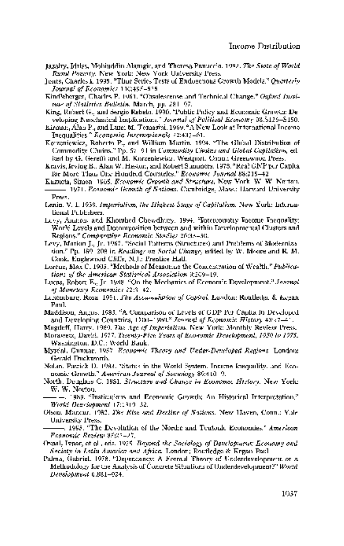- Jazairy, Idriss, Mohiuddin Alamgir, and Theresa Panuccio. 1992. The State of World Rural Poverty. New York: New York University Press.
- Jones, Charles I. 1995. "Time Series Tests of Endogenous Growth Models." Quarterly Journal of Economics 110:495-525.
- Kindleberger, Charles P. 1961. "Obsolescense and Technical Change." Oxford Insti tute of Statistics Bulletin, March, pp. 281-97.
- King, Robert G., and Sergio Rebelo. 1990. "Public Policy and Economic Growth: De veloping Neoclassical Implications." Journal of Political Economy 98:S126-S150.
- Kirman, Alan P., and Luigi M. Tomasini. 1969. "A New Look at International Income Inequalities." Economia Internazionale 22:437-61.
- Korzeniewicz, Roberto P., and William Martin. 1994. "The Global Distribution of Commodity Chains." Pp. 67-91 in Commodity Chains and Global Capitalism, ed ited by G. Gereffi and M. Korzeniewicz. Westport, Conn.: Greenwood Press.
- Kravis, Irving B., Alan W. Heston, and Robert Summers. 1978. "Real GNP per Capita for More Than One Hundred Countries." Economic Journal 88:215-42.
- Kuznets, Simon. 1965. Economic Growth and Structure. New York: W. W. Norton. . 1971. Economic Growth of Nations. Cambridge, Mass.: Harvard University Press.
- Lenin, V. I. 1939. Imperialism, the Highest Stage of Capitalism. New York: Interna tional Publishers.
- Levy, Amnon, and Khorshed Chowdhury. 1994. "Intercountry Income Inequality: World Levels and Decomposition between and within Developmental Clusters and Regions." Comparative Economic Studies 26:33-50.
- Levy, Marion J., Jr. 1967. "Social Patterns (Structures) and Problems of Moderniza tion." Pp. 189-208 in Readings on Social Change, edited by W. Moore and R. M. Cook. Englewood Cliffs, N.J.: Prentice-Hall.
- Lorenz, Max C. 1905. "Methods of Measuring the Concentration of Wealth." Publica tions of the American Statistical Association 9:209-19.
- Lucas, Robert E., Jr. 1988. "On the Mechanics of Economic Development." Journal of Monetary Economics 22:3-42.
- Luxemburg, Rosa. 1951. The Accumulation of Capital. London: Routledge & Kegan Paul.
- Maddison, Angus. 1983. "A Comparison of Levels of GDP Per Capita in Developed and Developing Countries, 1700-1980." Journal of Economic History 43:27-41.
- Magdoff, Harry. 1969. The Age of Imperialism. New York: Monthly Review Press.
- Morawetz, David. 1977. Twenty-Five Years of Economic Development, 1950 to 1975. Washington, D.C.: World Bank.
- Myrdal, Gunnar. 1957. Economic Theory and Under-Developed Regions. London: Gerald Duckworth.
- Nolan, Patrick D. 1983. "Status in the World System, Income Inequality, and Eco nomic Growth." American Journal of Sociology 89:410-9.
- North, Douglass C. 1981. Structure and Change in Economic History. New York: W. W. Norton.
- . 1989. "Institutions and Economic Growth: An Historical Interpretation." World Development 17:1319-32.
- Olson, Mancur. 1982. The Rise and Decline of Nations. New Haven, Conn.: Yale University Press.
- . 1995. "The Devolution of the Nordic and Teutonic Economies." American Economic Review 85:22-27.
- Oxaal, Ivaar, et al., eds. 1975. Beyond the Sociology of Development: Economy and Society in Latin America and Africa. London: Routledge & Kegan Paul.
- Palma, Gabriel. 1978. "Dependency: A Formal Theory of Underdevelopment or a Methodology for the Analysis of Concrete Situations of Underdevelopment?" World Development 6:881-924.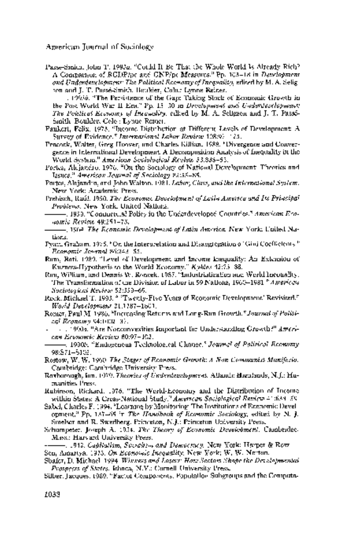Passe-Smith, John T. 1993a. "Could It Be That the Whole World Is Already Rich? A Comparison of RGDP/pc and GNP/pc Measures." Pp. 103-18 in Development and Underdevelopment: The Political Economy of Inequality, edited by M. A. Selig son and J. T. Passe-Smith. Boulder, Colo.: Lynne Reiner.

 . 1993b. "The Persistence of the Gap: Taking Stock of Economic Growth in the Post-World War II Era." Pp. 15-30 in Development and Underdevelopment: The Political Economy of Inequality, edited by  $\mathbf{M}$ . A. Seligson and J. T. Pass8-Smith. Boulder, Colo.: Lynne Reiner.

- Paukert, Felix. 1973. "Income Distribution at Different Levels of Development: A Survey of Evidence." International Labor Review 108:97-125.
- Peacock, Walter, Greg Hoover, and Charles Killian. 1988. "Divergence and Conver gence in International Development: A Decomposition Analysis of Inequality in the World System." American Sociological Review 53:838-52.
- Portes, Alejandro. 1976. "On the Sociology of National Development: Theories and Issues." American Journal of Sociology 82:55-85.
- Portes, Alejandro, and John Walton. 1981. Labor, Class, and the International System. New York: Academic Press.
- Prebisch, Rautl. 1950. The Economic Development of Latin America and Its Principal Problems. New York: United Nations.
- . 1959. "Commercial Policy in the Underdeveloped Countries." American Eco nomic Review 49:251-73.
- . 1964. The Economic Development of Latin America. New York: United Na tions.
- Pyatt, Graham. 1976. "On the Interpretation and Disaggregation of Gini Coefficients." Economic Journal 86:243-55.
- Ram, Rati. 1989. "Level of Development and Income Inequality: An Extension of Kuznets-Hypothesis to the World-Economy." Kyklos 42:73-88.
- Rau, William, and Dennis W. Roncek. 1987. "Industrialization and World Inequality: The Transformation of the Division of Labor in 59 Nations, 1960-1981.<sup>8</sup> American Sociological Review 52:359-69.
- Rock, Michael T. 1993. " 'Twenty-Five Years of Economic Development' Revisited." World Development 21:1787-1801.
- Romer, Paul M. 1986. "Increasing Returns and Long-Run Growth." Journal of Politi cal Economy 94:1002-37.
- $11.199$ 0a. "Are Nonconvexities Important for Understanding  $Graph with$ "  $A$ merican Economic Review 80:97-103.
- . 1990b. "Endogenous Technological Change." Journal of Political Economy 98:S71-S102.

 Rostow, W. W. 1960. The Stages of Economic Growth: A Non-Communist Manifesto. Cambridge: Cambridge University Press.

- Roxborough, Ian. 1979. Theories of Underdevelopment. Atlantic Highlands, N.J.: Hu manities Press.
- Rubinson, Richard. 1976. "The World-Economy and the Distribution of Income within States: A Cross-National Study." American Sociological Review 41:638-59.
- Sabel, Charles F. 1994. "Learning by Monitoring: The Institutions of Economic Devel opment." Pp. 137-65 in The Handbook of Economic Sociology, edited by N. J. Smelser and R. Swedberg. Princeton, N.J.: Princeton University Press.
- Schumpeter, Joseph A. 1934. The Theory of Economic Development. Cambridge, Mass.: Harvard University Press.

 . 1942. Capitalism, Socialism and Democracy. New York: Harper & Row. Sen, Amartya. 1973. On Economic Inequality. New York: W. W. Norton.

 Shafer, D. Michael. 1994. Winners and Losers: How Sectors Shape the Developmental Prospects of States. Ithaca, N.Y.: Cornell University Press.

Silber, Jacques. 1989. "Factor Components, Population Subgroups and the Computa-